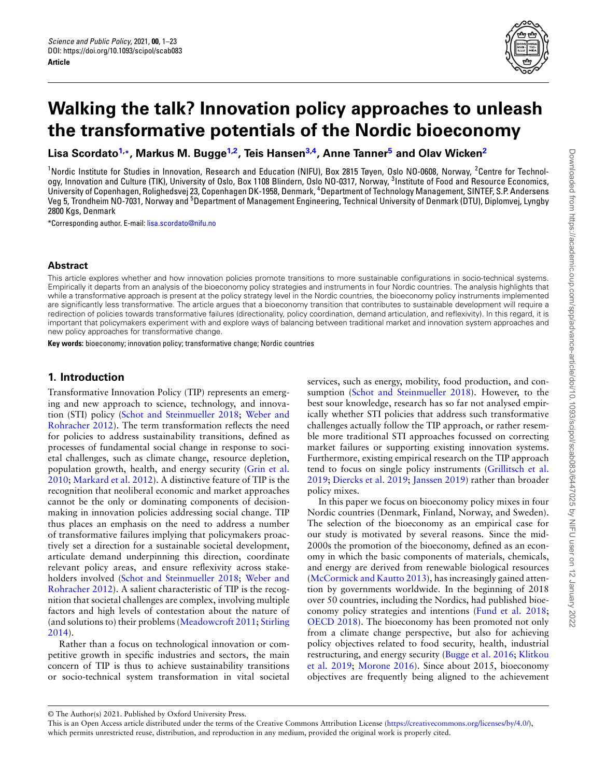<span id="page-0-2"></span><span id="page-0-1"></span>

# **Walking the talk? Innovation policy approaches to unleash the transformative potentials of the Nordic bioeconomy**

**Lisa Scordato[1,](#page-0-0)\*, Markus M. Bugge[1,](#page-0-0)[2](#page-0-1) , Teis Hansen[3,](#page-0-2)[4](#page-0-3) , Anne Tanner[5](#page-0-4) and Olav Wicken[2](#page-0-1)**

<span id="page-0-0"></span><sup>1</sup>Nordic Institute for Studies in Innovation, Research and Education (NIFU), Box 2815 Tøyen, Oslo NO-0608, Norway, <sup>2</sup>Centre for Technology, Innovation and Culture (TIK), University of Oslo, Box 1108 Blindern, Oslo NO-0317, Norway, <sup>3</sup>Institute of Food and Resource Economics, University of Copenhagen, Rolighedsvej 23, Copenhagen DK-1958, Denmark, <sup>4</sup>Department of Technology Management, SINTEF, S.P. Andersens Veg 5, Trondheim NO-7031, Norway and <sup>5</sup>Department of Management Engineering, Technical University of Denmark (DTU), Diplomvej, Lyngby 2800 Kgs, Denmark

<span id="page-0-4"></span>\*Corresponding author. E-mail: [lisa.scordato@nifu.no](mailto:lisa.scordato@nifu.no)

## **Abstract**

This article explores whether and how innovation policies promote transitions to more sustainable configurations in socio-technical systems. Empirically it departs from an analysis of the bioeconomy policy strategies and instruments in four Nordic countries. The analysis highlights that while a transformative approach is present at the policy strategy level in the Nordic countries, the bioeconomy policy instruments implemented are significantly less transformative. The article argues that a bioeconomy transition that contributes to sustainable development will require a redirection of policies towards transformative failures (directionality, policy coordination, demand articulation, and reflexivity). In this regard, it is important that policymakers experiment with and explore ways of balancing between traditional market and innovation system approaches and new policy approaches for transformative change.

**Key words:** bioeconomy; innovation policy; transformative change; Nordic countries

# **1. Introduction**

Transformative Innovation Policy (TIP) represents an emerging and new approach to science, technology, and innovation (STI) policy [\(Schot and Steinmueller 2018](#page-17-0); [Weber and](#page-18-0) [Rohracher 2012](#page-18-0)). The term transformation reflects the need for policies to address sustainability transitions, defined as processes of fundamental social change in response to societal challenges, such as climate change, resource depletion, population growth, health, and energy security [\(Grin et al.](#page-16-0) [2010;](#page-16-0) [Markard et al. 2012\)](#page-17-1). A distinctive feature of TIP is the recognition that neoliberal economic and market approaches cannot be the only or dominating components of decisionmaking in innovation policies addressing social change. TIP thus places an emphasis on the need to address a number of transformative failures implying that policymakers proactively set a direction for a sustainable societal development, articulate demand underpinning this direction, coordinate relevant policy areas, and ensure reflexivity across stakeholders involved [\(Schot and Steinmueller 2018](#page-17-0); [Weber and](#page-18-0) [Rohracher 2012\)](#page-18-0). A salient characteristic of TIP is the recognition that societal challenges are complex, involving multiple factors and high levels of contestation about the nature of (and solutions to) their problems [\(Meadowcroft 2011;](#page-17-2) [Stirling](#page-17-3) [2014\)](#page-17-3).

Rather than a focus on technological innovation or competitive growth in specific industries and sectors, the main concern of TIP is thus to achieve sustainability transitions or socio-technical system transformation in vital societal

<span id="page-0-3"></span>services, such as energy, mobility, food production, and consumption [\(Schot and Steinmueller 2018\)](#page-17-0). However, to the best sour knowledge, research has so far not analysed empirically whether STI policies that address such transformative challenges actually follow the TIP approach, or rather resemble more traditional STI approaches focussed on correcting market failures or supporting existing innovation systems. Furthermore, existing empirical research on the TIP approach tend to focus on single policy instruments [\(Grillitsch et al.](#page-16-1) [2019;](#page-16-1) [Diercks et al. 2019](#page-16-2); [Janssen 2019](#page-16-3)) rather than broader policy mixes.

In this paper we focus on bioeconomy policy mixes in four Nordic countries (Denmark, Finland, Norway, and Sweden). The selection of the bioeconomy as an empirical case for our study is motivated by several reasons. Since the mid-2000s the promotion of the bioeconomy, defined as an economy in which the basic components of materials, chemicals, and energy are derived from renewable biological resources [\(McCormick and Kautto 2013](#page-17-4)), has increasingly gained attention by governments worldwide. In the beginning of 2018 over 50 countries, including the Nordics, had published bioeconomy policy strategies and intentions [\(Fund et al. 2018;](#page-16-4) [OECD 2018\)](#page-17-5). The bioeconomy has been promoted not only from a climate change perspective, but also for achieving policy objectives related to food security, health, industrial restructuring, and energy security([Bugge et al. 2016;](#page-15-0) [Klitkou](#page-16-5) [et al. 2019;](#page-16-5) [Morone 2016\)](#page-17-6). Since about 2015, bioeconomy objectives are frequently being aligned to the achievement

<sup>©</sup> The Author(s) 2021. Published by Oxford University Press.

This is an Open Access article distributed under the terms of the Creative Commons Attribution License [\(https://creativecommons.org/licenses/by/4.0/\)](https://creativecommons.org/licenses/by/4.0/), which permits unrestricted reuse, distribution, and reproduction in any medium, provided the original work is properly cited.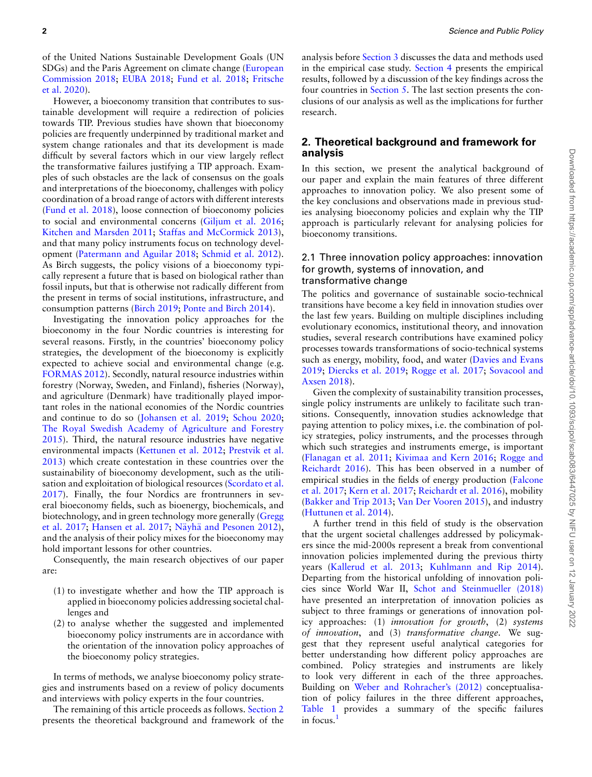of the United Nations Sustainable Development Goals (UN SDGs) and the Paris Agreement on climate change [\(European](#page-16-6) [Commission 2018](#page-16-6); [EUBA 2018;](#page-16-7) [Fund et al. 2018;](#page-16-4) [Fritsche](#page-16-8) [et al. 2020](#page-16-8)).

However, a bioeconomy transition that contributes to sustainable development will require a redirection of policies towards TIP. Previous studies have shown that bioeconomy policies are frequently underpinned by traditional market and system change rationales and that its development is made difficult by several factors which in our view largely reflect the transformative failures justifying a TIP approach. Examples of such obstacles are the lack of consensus on the goals and interpretations of the bioeconomy, challenges with policy coordination of a broad range of actors with different interests ([Fund et al. 2018](#page-16-4)), loose connection of bioeconomy policies to social and environmental concerns([Giljum et al. 2016](#page-16-9); [Kitchen and Marsden 2011;](#page-16-10) [Staffas and McCormick 2013\)](#page-17-7), and that many policy instruments focus on technology development [\(Patermann and Aguilar 2018](#page-17-8); [Schmid et al. 2012\)](#page-17-9). As Birch suggests, the policy visions of a bioeconomy typically represent a future that is based on biological rather than fossil inputs, but that is otherwise not radically different from the present in terms of social institutions, infrastructure, and consumption patterns [\(Birch 2019](#page-15-1); [Ponte and Birch 2014](#page-17-10)).

Investigating the innovation policy approaches for the bioeconomy in the four Nordic countries is interesting for several reasons. Firstly, in the countries' bioeconomy policy strategies, the development of the bioeconomy is explicitly expected to achieve social and environmental change (e.g. [FORMAS 2012](#page-16-11)). Secondly, natural resource industries within forestry (Norway, Sweden, and Finland), fisheries (Norway), and agriculture (Denmark) have traditionally played important roles in the national economies of the Nordic countries and continue to do so [\(Johansen et al. 2019](#page-16-12); [Schou 2020](#page-17-11); [The Royal Swedish Academy of Agriculture and Forestry](#page-17-12) [2015](#page-17-12)). Third, the natural resource industries have negative environmental impacts [\(Kettunen et al. 2012](#page-16-13); [Prestvik et al.](#page-17-13) [2013](#page-17-13)) which create contestation in these countries over the sustainability of bioeconomy development, such as the utilisation and exploitation of biological resources [\(Scordato et al.](#page-17-14) [2017](#page-17-14)). Finally, the four Nordics are frontrunners in several bioeconomy fields, such as bioenergy, biochemicals, and biotechnology, and in green technology more generally [\(Gregg](#page-16-14) [et al. 2017;](#page-16-14) [Hansen et al. 2017](#page-16-15); Näyhä and Pesonen 2012), and the analysis of their policy mixes for the bioeconomy may hold important lessons for other countries.

<span id="page-1-1"></span>Consequently, the main research objectives of our paper are:

- (1) to investigate whether and how the TIP approach is applied in bioeconomy policies addressing societal challenges and
- (2) to analyse whether the suggested and implemented bioeconomy policy instruments are in accordance with the orientation of the innovation policy approaches of the bioeconomy policy strategies.

In terms of methods, we analyse bioeconomy policy strategies and instruments based on a review of policy documents and interviews with policy experts in the four countries.

The remaining of this article proceeds as follows. [Section 2](#page-1-0) presents the theoretical background and framework of the analysis before [Section 3](#page-4-0) discusses the data and methods used in the empirical case study. [Section 4](#page-6-0) presents the empirical results, followed by a discussion of the key findings across the four countries in [Section 5](#page-12-0). The last section presents the conclusions of our analysis as well as the implications for further research.

# <span id="page-1-0"></span>**2. Theoretical background and framework for analysis**

In this section, we present the analytical background of our paper and explain the main features of three different approaches to innovation policy. We also present some of the key conclusions and observations made in previous studies analysing bioeconomy policies and explain why the TIP approach is particularly relevant for analysing policies for bioeconomy transitions.

## 2.1 Three innovation policy approaches: innovation for growth, systems of innovation, and transformative change

The politics and governance of sustainable socio-technical transitions have become a key field in innovation studies over the last few years. Building on multiple disciplines including evolutionary economics, institutional theory, and innovation studies, several research contributions have examined policy processes towards transformations of socio-technical systems such as energy, mobility, food, and water([Davies and Evans](#page-16-16) [2019](#page-16-16); [Diercks et al. 2019;](#page-16-2) [Rogge et al. 2017;](#page-17-16) [Sovacool and](#page-17-17) [Axsen 2018](#page-17-17)).

Given the complexity of sustainability transition processes, single policy instruments are unlikely to facilitate such transitions. Consequently, innovation studies acknowledge that paying attention to policy mixes, i.e. the combination of policy strategies, policy instruments, and the processes through which such strategies and instruments emerge, is important ([Flanagan et al. 2011](#page-16-17); [Kivimaa and Kern 2016;](#page-16-18) [Rogge and](#page-17-18) [Reichardt 2016\)](#page-17-18). This has been observed in a number of empirical studies in the fields of energy production([Falcone](#page-16-19) [et al. 2017](#page-16-19); [Kern et al. 2017;](#page-16-20) [Reichardt et al. 2016](#page-17-19)), mobility ([Bakker and Trip 2013](#page-15-2); [Van Der Vooren 2015](#page-17-20)), and industry ([Huttunen et al. 2014](#page-16-21)).

A further trend in this field of study is the observation that the urgent societal challenges addressed by policymakers since the mid-2000s represent a break from conventional innovation policies implemented during the previous thirty years([Kallerud et al. 2013;](#page-16-22) [Kuhlmann and Rip 2014](#page-16-23)). Departing from the historical unfolding of innovation policies since World War II, [Schot and Steinmueller \(2018\)](#page-17-0) have presented an interpretation of innovation policies as subject to three framings or generations of innovation policy approaches: (1) *innovation for growth*, (2) *systems of innovation*, and (3) *transformative change*. We suggest that they represent useful analytical categories for better understanding how different policy approaches are combined. Policy strategies and instruments are likely to look very different in each of the three approaches. Building on [Weber and Rohracher's \(2012\)](#page-18-0) conceptualisation of policy failures in the three different approaches, Table 1 provides a summary of the specific failures in focus.<sup>[1](#page-1-1)</sup>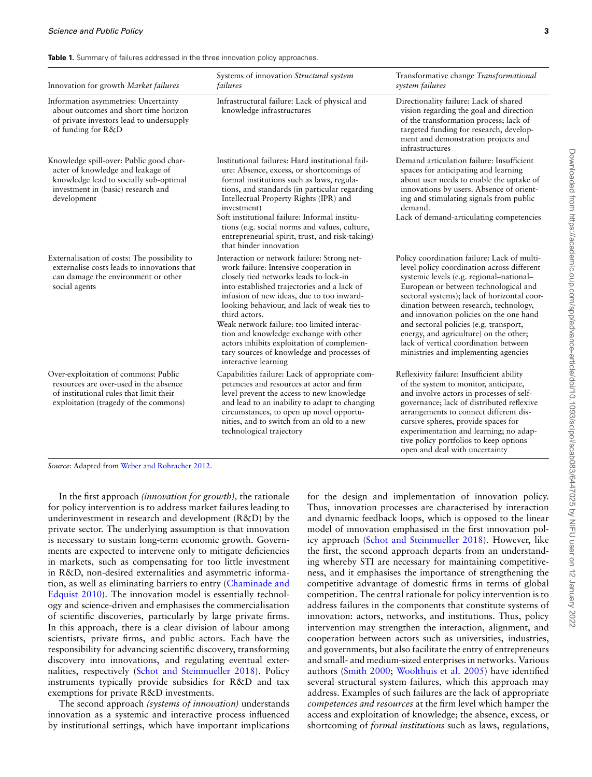| <b>Table 1.</b> Summary of failures addressed in the three innovation policy approaches. |  |  |  |
|------------------------------------------------------------------------------------------|--|--|--|
|------------------------------------------------------------------------------------------|--|--|--|

| Innovation for growth Market failures                                                                                                                                       | Systems of innovation Structural system<br>failures                                                                                                                                                                                                                                                                                                                                                                                                                                                     | Transformative change Transformational<br>system failures                                                                                                                                                                                                                                                                                                                                                                                                                               |
|-----------------------------------------------------------------------------------------------------------------------------------------------------------------------------|---------------------------------------------------------------------------------------------------------------------------------------------------------------------------------------------------------------------------------------------------------------------------------------------------------------------------------------------------------------------------------------------------------------------------------------------------------------------------------------------------------|-----------------------------------------------------------------------------------------------------------------------------------------------------------------------------------------------------------------------------------------------------------------------------------------------------------------------------------------------------------------------------------------------------------------------------------------------------------------------------------------|
| Information asymmetries: Uncertainty<br>about outcomes and short time horizon<br>of private investors lead to undersupply<br>of funding for R&D                             | Infrastructural failure: Lack of physical and<br>knowledge infrastructures                                                                                                                                                                                                                                                                                                                                                                                                                              | Directionality failure: Lack of shared<br>vision regarding the goal and direction<br>of the transformation process; lack of<br>targeted funding for research, develop-<br>ment and demonstration projects and<br>infrastructures                                                                                                                                                                                                                                                        |
| Knowledge spill-over: Public good char-<br>acter of knowledge and leakage of<br>knowledge lead to socially sub-optimal<br>investment in (basic) research and<br>development | Institutional failures: Hard institutional fail-<br>ure: Absence, excess, or shortcomings of<br>formal institutions such as laws, regula-<br>tions, and standards (in particular regarding<br>Intellectual Property Rights (IPR) and<br>investment)<br>Soft institutional failure: Informal institu-<br>tions (e.g. social norms and values, culture,<br>entrepreneurial spirit, trust, and risk-taking)<br>that hinder innovation                                                                      | Demand articulation failure: Insufficient<br>spaces for anticipating and learning<br>about user needs to enable the uptake of<br>innovations by users. Absence of orient-<br>ing and stimulating signals from public<br>demand.<br>Lack of demand-articulating competencies                                                                                                                                                                                                             |
| Externalisation of costs: The possibility to<br>externalise costs leads to innovations that<br>can damage the environment or other<br>social agents                         | Interaction or network failure: Strong net-<br>work failure: Intensive cooperation in<br>closely tied networks leads to lock-in<br>into established trajectories and a lack of<br>infusion of new ideas, due to too inward-<br>looking behaviour, and lack of weak ties to<br>third actors.<br>Weak network failure: too limited interac-<br>tion and knowledge exchange with other<br>actors inhibits exploitation of complemen-<br>tary sources of knowledge and processes of<br>interactive learning | Policy coordination failure: Lack of multi-<br>level policy coordination across different<br>systemic levels (e.g. regional-national-<br>European or between technological and<br>sectoral systems); lack of horizontal coor-<br>dination between research, technology,<br>and innovation policies on the one hand<br>and sectoral policies (e.g. transport,<br>energy, and agriculture) on the other;<br>lack of vertical coordination between<br>ministries and implementing agencies |
| Over-exploitation of commons: Public<br>resources are over-used in the absence<br>of institutional rules that limit their<br>exploitation (tragedy of the commons)          | Capabilities failure: Lack of appropriate com-<br>petencies and resources at actor and firm<br>level prevent the access to new knowledge<br>and lead to an inability to adapt to changing<br>circumstances, to open up novel opportu-<br>nities, and to switch from an old to a new<br>technological trajectory                                                                                                                                                                                         | Reflexivity failure: Insufficient ability<br>of the system to monitor, anticipate,<br>and involve actors in processes of self-<br>governance; lack of distributed reflexive<br>arrangements to connect different dis-<br>cursive spheres, provide spaces for<br>experimentation and learning; no adap-<br>tive policy portfolios to keep options<br>open and deal with uncertainty                                                                                                      |

*Source*: Adapted from [Weber and Rohracher 2012](#page-18-0).

In the first approach *(innovation for growth),* the rationale for policy intervention is to address market failures leading to underinvestment in research and development (R&D) by the private sector. The underlying assumption is that innovation is necessary to sustain long-term economic growth. Governments are expected to intervene only to mitigate deficiencies in markets, such as compensating for too little investment in R&D, non-desired externalities and asymmetric information, as well as eliminating barriers to entry([Chaminade and](#page-15-3) [Edquist 2010](#page-15-3)). The innovation model is essentially technology and science-driven and emphasises the commercialisation of scientific discoveries, particularly by large private firms. In this approach, there is a clear division of labour among scientists, private firms, and public actors. Each have the responsibility for advancing scientific discovery, transforming discovery into innovations, and regulating eventual externalities, respectively [\(Schot and Steinmueller 2018\)](#page-17-0). Policy instruments typically provide subsidies for R&D and tax exemptions for private R&D investments.

The second approach *(systems of innovation)* understands innovation as a systemic and interactive process influenced by institutional settings, which have important implications

for the design and implementation of innovation policy. Thus, innovation processes are characterised by interaction and dynamic feedback loops, which is opposed to the linear model of innovation emphasised in the first innovation policy approach [\(Schot and Steinmueller 2018](#page-17-0)). However, like the first, the second approach departs from an understanding whereby STI are necessary for maintaining competitiveness, and it emphasises the importance of strengthening the competitive advantage of domestic firms in terms of global competition. The central rationale for policy intervention is to address failures in the components that constitute systems of innovation: actors, networks, and institutions. Thus, policy intervention may strengthen the interaction, alignment, and cooperation between actors such as universities, industries, and governments, but also facilitate the entry of entrepreneurs and small- and medium-sized enterprises in networks. Various authors([Smith 2000;](#page-17-21) [Woolthuis et al. 2005](#page-18-1)) have identified several structural system failures, which this approach may address. Examples of such failures are the lack of appropriate *competences and resources* at the firm level which hamper the access and exploitation of knowledge; the absence, excess, or shortcoming of *formal institutions* such as laws, regulations,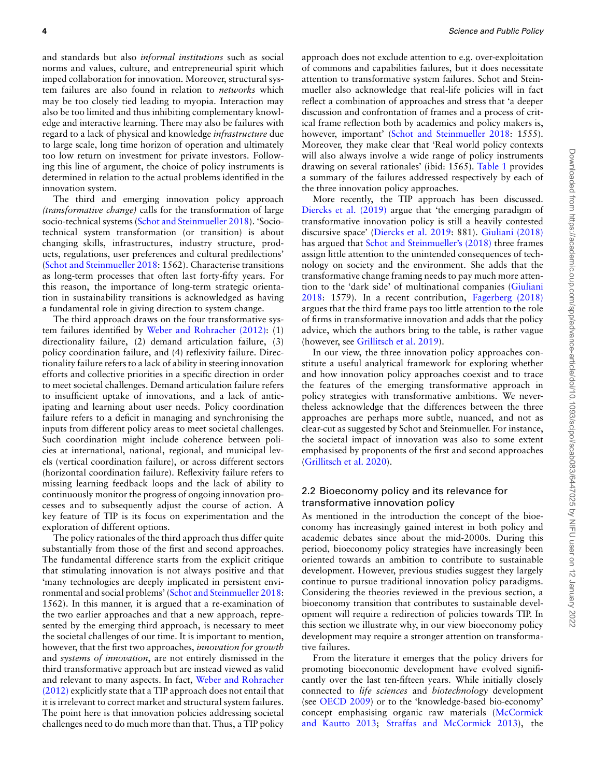and standards but also *informal institutions* such as social norms and values, culture, and entrepreneurial spirit which imped collaboration for innovation. Moreover, structural system failures are also found in relation to *networks* which may be too closely tied leading to myopia. Interaction may also be too limited and thus inhibiting complementary knowledge and interactive learning. There may also be failures with regard to a lack of physical and knowledge *infrastructure* due to large scale, long time horizon of operation and ultimately too low return on investment for private investors. Following this line of argument, the choice of policy instruments is determined in relation to the actual problems identified in the innovation system.

The third and emerging innovation policy approach *(transformative change)* calls for the transformation of large socio-technical systems([Schot and Steinmueller 2018\)](#page-17-0). 'Sociotechnical system transformation (or transition) is about changing skills, infrastructures, industry structure, products, regulations, user preferences and cultural predilections' ([Schot and Steinmueller 2018](#page-17-0): 1562). Characterise transitions as long-term processes that often last forty-fifty years. For this reason, the importance of long-term strategic orientation in sustainability transitions is acknowledged as having a fundamental role in giving direction to system change.

The third approach draws on the four transformative system failures identified by [Weber and Rohracher \(2012\):](#page-18-0) (1) directionality failure, (2) demand articulation failure, (3) policy coordination failure, and (4) reflexivity failure. Directionality failure refers to a lack of ability in steering innovation efforts and collective priorities in a specific direction in order to meet societal challenges. Demand articulation failure refers to insufficient uptake of innovations, and a lack of anticipating and learning about user needs. Policy coordination failure refers to a deficit in managing and synchronising the inputs from different policy areas to meet societal challenges. Such coordination might include coherence between policies at international, national, regional, and municipal levels (vertical coordination failure), or across different sectors (horizontal coordination failure). Reflexivity failure refers to missing learning feedback loops and the lack of ability to continuously monitor the progress of ongoing innovation processes and to subsequently adjust the course of action. A key feature of TIP is its focus on experimentation and the exploration of different options.

The policy rationales of the third approach thus differ quite substantially from those of the first and second approaches. The fundamental difference starts from the explicit critique that stimulating innovation is not always positive and that 'many technologies are deeply implicated in persistent environmental and social problems'([Schot and Steinmueller 2018](#page-17-0): 1562). In this manner, it is argued that a re-examination of the two earlier approaches and that a new approach, represented by the emerging third approach, is necessary to meet the societal challenges of our time. It is important to mention, however, that the first two approaches, *innovation for growth* and *systems of innovation*, are not entirely dismissed in the third transformative approach but are instead viewed as valid and relevant to many aspects. In fact, [Weber and Rohracher](#page-18-0) [\(2012\)](#page-18-0) explicitly state that a TIP approach does not entail that it is irrelevant to correct market and structural system failures. The point here is that innovation policies addressing societal challenges need to do much more than that. Thus, a TIP policy

approach does not exclude attention to e.g. over-exploitation of commons and capabilities failures, but it does necessitate attention to transformative system failures. Schot and Steinmueller also acknowledge that real-life policies will in fact reflect a combination of approaches and stress that 'a deeper discussion and confrontation of frames and a process of critical frame reflection both by academics and policy makers is, however,important' ([Schot and Steinmueller 2018:](#page-17-0) 1555). Moreover, they make clear that 'Real world policy contexts will also always involve a wide range of policy instruments drawing on several rationales' (ibid: 1565). Table 1 provides a summary of the failures addressed respectively by each of the three innovation policy approaches.

More recently, the TIP approach has been discussed. [Diercks et al. \(2019\)](#page-16-2) argue that 'the emerging paradigm of transformative innovation policy is still a heavily contested discursive space' [\(Diercks et al. 2019:](#page-16-2) 881). [Giuliani \(2018\)](#page-16-24) has argued that [Schot and Steinmueller's \(2018\)](#page-17-0) three frames assign little attention to the unintended consequences of technology on society and the environment. She adds that the transformative change framing needs to pay much more attention to the 'dark side' of multinational companies [\(Giuliani](#page-16-24) [2018](#page-16-24): 1579). In a recent contribution, [Fagerberg \(2018\)](#page-16-25) argues that the third frame pays too little attention to the role of firms in transformative innovation and adds that the policy advice, which the authors bring to the table, is rather vague (however, see [Grillitsch et al. 2019](#page-16-1)).

In our view, the three innovation policy approaches constitute a useful analytical framework for exploring whether and how innovation policy approaches coexist and to trace the features of the emerging transformative approach in policy strategies with transformative ambitions. We nevertheless acknowledge that the differences between the three approaches are perhaps more subtle, nuanced, and not as clear-cut as suggested by Schot and Steinmueller. For instance, the societal impact of innovation was also to some extent emphasised by proponents of the first and second approaches ([Grillitsch et al. 2020\)](#page-16-26).

# 2.2 Bioeconomy policy and its relevance for transformative innovation policy

As mentioned in the introduction the concept of the bioeconomy has increasingly gained interest in both policy and academic debates since about the mid-2000s. During this period, bioeconomy policy strategies have increasingly been oriented towards an ambition to contribute to sustainable development. However, previous studies suggest they largely continue to pursue traditional innovation policy paradigms. Considering the theories reviewed in the previous section, a bioeconomy transition that contributes to sustainable development will require a redirection of policies towards TIP. In this section we illustrate why, in our view bioeconomy policy development may require a stronger attention on transformative failures.

From the literature it emerges that the policy drivers for promoting bioeconomic development have evolved significantly over the last ten-fifteen years. While initially closely connected to *life sciences* and *biotechnology* development (see [OECD 2009\)](#page-17-22) or to the 'knowledge-based bio-economy' concept emphasising organic raw materials [\(McCormick](#page-17-4) [and Kautto 2013;](#page-17-4) [Straffas and McCormick 2013](#page-17-7)), the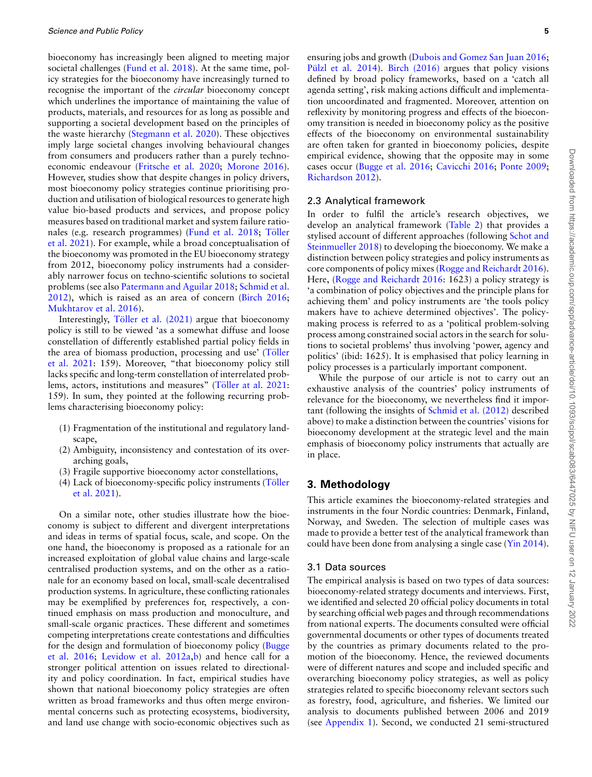bioeconomy has increasingly been aligned to meeting major societal challenges [\(Fund et al. 2018\)](#page-16-4). At the same time, policy strategies for the bioeconomy have increasingly turned to recognise the important of the *circular* bioeconomy concept which underlines the importance of maintaining the value of products, materials, and resources for as long as possible and supporting a societal development based on the principles of the waste hierarchy [\(Stegmann et al. 2020\)](#page-17-23). These objectives imply large societal changes involving behavioural changes from consumers and producers rather than a purely technoeconomic endeavour [\(Fritsche et al. 2020](#page-16-8); [Morone 2016\)](#page-17-6). However, studies show that despite changes in policy drivers, most bioeconomy policy strategies continue prioritising production and utilisation of biological resources to generate high value bio-based products and services, and propose policy measures based on traditional market and system failure ratio-nales(e.g. research programmes) ([Fund et al. 2018](#page-16-4); Töller [et al. 2021\)](#page-17-24). For example, while a broad conceptualisation of the bioeconomy was promoted in the EU bioeconomy strategy from 2012, bioeconomy policy instruments had a considerably narrower focus on techno-scientific solutions to societal problems (see also [Patermann and Aguilar 2018](#page-17-8); [Schmid et al.](#page-17-9) [2012\)](#page-17-9), which is raised as an area of concern [\(Birch 2016;](#page-15-4) [Mukhtarov et al. 2016](#page-17-25)).

Interestingly, Töller et al.  $(2021)$  argue that bioeconomy policy is still to be viewed 'as a somewhat diffuse and loose constellation of differently established partial policy fields in the area of biomass production, processing and use' (Töller [et al. 2021:](#page-17-24) 159). Moreover, "that bioeconomy policy still lacks specific and long-term constellation of interrelated problems,actors, institutions and measures" (Töller at al. 2021: 159). In sum, they pointed at the following recurring problems characterising bioeconomy policy:

- (1) Fragmentation of the institutional and regulatory landscape,
- (2) Ambiguity, inconsistency and contestation of its overarching goals,
- (3) Fragile supportive bioeconomy actor constellations,
- (4) Lack of bioeconomy-specific policy instruments (Töller [et al. 2021](#page-17-24)).

On a similar note, other studies illustrate how the bioeconomy is subject to different and divergent interpretations and ideas in terms of spatial focus, scale, and scope. On the one hand, the bioeconomy is proposed as a rationale for an increased exploitation of global value chains and large-scale centralised production systems, and on the other as a rationale for an economy based on local, small-scale decentralised production systems. In agriculture, these conflicting rationales may be exemplified by preferences for, respectively, a continued emphasis on mass production and monoculture, and small-scale organic practices. These different and sometimes competing interpretations create contestations and difficulties for the design and formulation of bioeconomy policy [\(Bugge](#page-15-0) [et al. 2016;](#page-15-0) [Levidow et al. 2012a,](#page-16-27)[b\)](#page-16-28) and hence call for a stronger political attention on issues related to directionality and policy coordination. In fact, empirical studies have shown that national bioeconomy policy strategies are often written as broad frameworks and thus often merge environmental concerns such as protecting ecosystems, biodiversity, and land use change with socio-economic objectives such as

ensuring jobs and growth [\(Dubois and Gomez San Juan 2016;](#page-16-29) Pülzl et al. 2014). [Birch \(2016\)](#page-15-4) argues that policy visions defined by broad policy frameworks, based on a 'catch all agenda setting', risk making actions difficult and implementation uncoordinated and fragmented. Moreover, attention on reflexivity by monitoring progress and effects of the bioeconomy transition is needed in bioeconomy policy as the positive effects of the bioeconomy on environmental sustainability are often taken for granted in bioeconomy policies, despite empirical evidence, showing that the opposite may in some cases occur([Bugge et al. 2016;](#page-15-0) [Cavicchi 2016](#page-15-5); [Ponte 2009;](#page-17-27) [Richardson 2012](#page-17-28)).

#### 2.3 Analytical framework

In order to fulfil the article's research objectives, we develop an analytical framework (Table 2) that provides a stylised account of different approaches (following [Schot and](#page-17-0) [Steinmueller 2018](#page-17-0)) to developing the bioeconomy. We make a distinction between policy strategies and policy instruments as core components of policy mixes([Rogge and Reichardt 2016\)](#page-17-18). Here, [\(Rogge and Reichardt 2016:](#page-17-18) 1623) a policy strategy is 'a combination of policy objectives and the principle plans for achieving them' and policy instruments are 'the tools policy makers have to achieve determined objectives'. The policymaking process is referred to as a 'political problem-solving process among constrained social actors in the search for solutions to societal problems' thus involving 'power, agency and politics' (ibid: 1625). It is emphasised that policy learning in policy processes is a particularly important component.

While the purpose of our article is not to carry out an exhaustive analysis of the countries' policy instruments of relevance for the bioeconomy, we nevertheless find it important (following the insights of [Schmid et al. \(2012\)](#page-17-9) described above) to make a distinction between the countries' visions for bioeconomy development at the strategic level and the main emphasis of bioeconomy policy instruments that actually are in place.

# <span id="page-4-0"></span>**3. Methodology**

This article examines the bioeconomy-related strategies and instruments in the four Nordic countries: Denmark, Finland, Norway, and Sweden. The selection of multiple cases was made to provide a better test of the analytical framework than could have been done from analysing a single case [\(Yin 2014\)](#page-18-2).

## 3.1 Data sources

The empirical analysis is based on two types of data sources: bioeconomy-related strategy documents and interviews. First, we identified and selected 20 official policy documents in total by searching official web pages and through recommendations from national experts. The documents consulted were official governmental documents or other types of documents treated by the countries as primary documents related to the promotion of the bioeconomy. Hence, the reviewed documents were of different natures and scope and included specific and overarching bioeconomy policy strategies, as well as policy strategies related to specific bioeconomy relevant sectors such as forestry, food, agriculture, and fisheries. We limited our analysis to documents published between 2006 and 2019 (see Appendix 1). Second, we conducted 21 semi-structured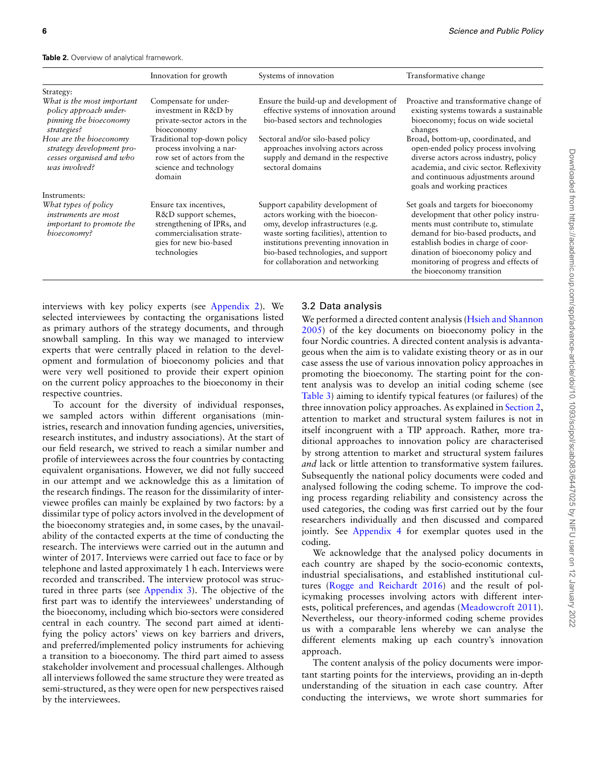|                                                                                                                       | Innovation for growth                                                                                                                               | Systems of innovation                                                                                                                                                                                                                                                      | Transformative change                                                                                                                                                                                                                                                                                        |
|-----------------------------------------------------------------------------------------------------------------------|-----------------------------------------------------------------------------------------------------------------------------------------------------|----------------------------------------------------------------------------------------------------------------------------------------------------------------------------------------------------------------------------------------------------------------------------|--------------------------------------------------------------------------------------------------------------------------------------------------------------------------------------------------------------------------------------------------------------------------------------------------------------|
| Strategy:                                                                                                             |                                                                                                                                                     |                                                                                                                                                                                                                                                                            |                                                                                                                                                                                                                                                                                                              |
| What is the most important<br>policy approach under-<br>pinning the bioeconomy<br>strategies?                         | Compensate for under-<br>investment in R&D by<br>private-sector actors in the<br>bioeconomy                                                         | Ensure the build-up and development of<br>effective systems of innovation around<br>bio-based sectors and technologies                                                                                                                                                     | Proactive and transformative change of<br>existing systems towards a sustainable<br>bioeconomy; focus on wide societal<br>changes                                                                                                                                                                            |
| How are the bioeconomy<br>strategy development pro-<br>cesses organised and who<br>was involved?                      | Traditional top-down policy<br>process involving a nar-<br>row set of actors from the<br>science and technology<br>domain                           | Sectoral and/or silo-based policy<br>approaches involving actors across<br>supply and demand in the respective<br>sectoral domains                                                                                                                                         | Broad, bottom-up, coordinated, and<br>open-ended policy process involving<br>diverse actors across industry, policy<br>academia, and civic sector. Reflexivity<br>and continuous adjustments around<br>goals and working practices                                                                           |
| Instruments:<br>What types of policy<br><i>instruments are most</i><br><i>important to promote the</i><br>bioeconomy? | Ensure tax incentives,<br>R&D support schemes,<br>strengthening of IPRs, and<br>commercialisation strate-<br>gies for new bio-based<br>technologies | Support capability development of<br>actors working with the bioecon-<br>omy, develop infrastructures (e.g.<br>waste sorting facilities), attention to<br>institutions preventing innovation in<br>bio-based technologies, and support<br>for collaboration and networking | Set goals and targets for bioeconomy<br>development that other policy instru-<br>ments must contribute to, stimulate<br>demand for bio-based products, and<br>establish bodies in charge of coor-<br>dination of bioeconomy policy and<br>monitoring of progress and effects of<br>the bioeconomy transition |

interviews with key policy experts (see Appendix 2). We selected interviewees by contacting the organisations listed as primary authors of the strategy documents, and through snowball sampling. In this way we managed to interview experts that were centrally placed in relation to the development and formulation of bioeconomy policies and that were very well positioned to provide their expert opinion on the current policy approaches to the bioeconomy in their respective countries.

To account for the diversity of individual responses, we sampled actors within different organisations (ministries, research and innovation funding agencies, universities, research institutes, and industry associations). At the start of our field research, we strived to reach a similar number and profile of interviewees across the four countries by contacting equivalent organisations. However, we did not fully succeed in our attempt and we acknowledge this as a limitation of the research findings. The reason for the dissimilarity of interviewee profiles can mainly be explained by two factors: by a dissimilar type of policy actors involved in the development of the bioeconomy strategies and, in some cases, by the unavailability of the contacted experts at the time of conducting the research. The interviews were carried out in the autumn and winter of 2017. Interviews were carried out face to face or by telephone and lasted approximately 1 h each. Interviews were recorded and transcribed. The interview protocol was structured in three parts (see [Appendix 3\)](#page-20-0). The objective of the first part was to identify the interviewees' understanding of the bioeconomy, including which bio-sectors were considered central in each country. The second part aimed at identifying the policy actors' views on key barriers and drivers, and preferred/implemented policy instruments for achieving a transition to a bioeconomy. The third part aimed to assess stakeholder involvement and processual challenges. Although all interviews followed the same structure they were treated as semi-structured, as they were open for new perspectives raised by the interviewees.

# 3.2 Data analysis

We performed a directed content analysis([Hsieh and Shannon](#page-16-30) [2005](#page-16-30)) of the key documents on bioeconomy policy in the four Nordic countries. A directed content analysis is advantageous when the aim is to validate existing theory or as in our case assess the use of various innovation policy approaches in promoting the bioeconomy. The starting point for the content analysis was to develop an initial coding scheme (see Table 3) aiming to identify typical features (or failures) of the three innovation policy approaches. As explained in [Section 2](#page-1-0), attention to market and structural system failures is not in itself incongruent with a TIP approach. Rather, more traditional approaches to innovation policy are characterised by strong attention to market and structural system failures *and* lack or little attention to transformative system failures. Subsequently the national policy documents were coded and analysed following the coding scheme. To improve the coding process regarding reliability and consistency across the used categories, the coding was first carried out by the four researchers individually and then discussed and compared jointly. See Appendix 4 for exemplar quotes used in the coding.

We acknowledge that the analysed policy documents in each country are shaped by the socio-economic contexts, industrial specialisations, and established institutional cultures [\(Rogge and Reichardt 2016\)](#page-17-18) and the result of policymaking processes involving actors with different interests, political preferences, and agendas [\(Meadowcroft 2011](#page-17-2)). Nevertheless, our theory-informed coding scheme provides us with a comparable lens whereby we can analyse the different elements making up each country's innovation approach.

The content analysis of the policy documents were important starting points for the interviews, providing an in-depth understanding of the situation in each case country. After conducting the interviews, we wrote short summaries for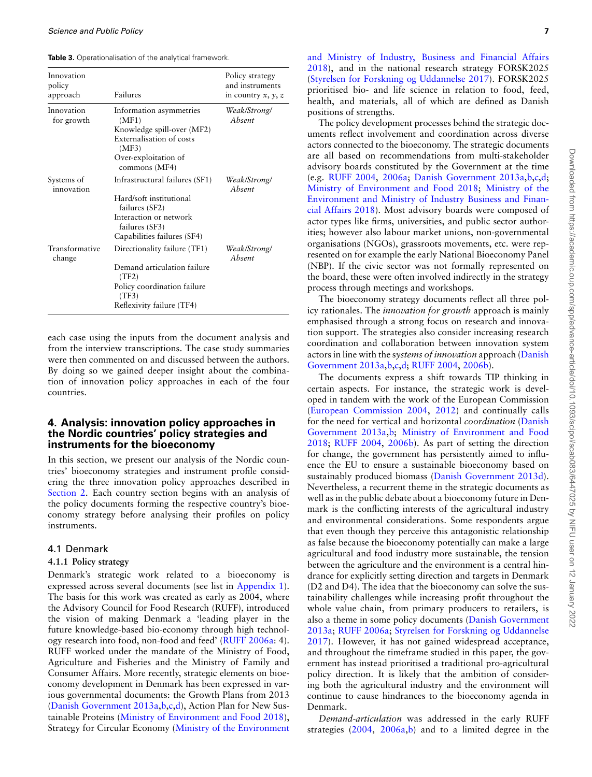**Table 3.** Operationalisation of the analytical framework.

| Innovation<br>policy<br>approach | Failures                                                                                                                                               | Policy strategy<br>and instruments<br>in country $x, y, z$ |
|----------------------------------|--------------------------------------------------------------------------------------------------------------------------------------------------------|------------------------------------------------------------|
| Innovation<br>for growth         | Information asymmetries<br>(MF1)<br>Knowledge spill-over (MF2)<br>Externalisation of costs<br>(MF3)<br>Over-exploitation of<br>commons (MF4)           | Weak/Strong/<br>Absent                                     |
| Systems of<br>innovation         | Infrastructural failures (SF1)<br>Hard/soft institutional<br>failures (SF2)<br>Interaction or network<br>failures (SF3)<br>Capabilities failures (SF4) | Weak/Strong/<br>Absent                                     |
| Transformative<br>change         | Directionality failure (TF1)<br>Demand articulation failure<br>(TF2)<br>Policy coordination failure<br>(TF3)<br>Reflexivity failure (TF4)              | Weak/Strong/<br>Absent                                     |

each case using the inputs from the document analysis and from the interview transcriptions. The case study summaries were then commented on and discussed between the authors. By doing so we gained deeper insight about the combination of innovation policy approaches in each of the four countries.

## <span id="page-6-0"></span>**4. Analysis: innovation policy approaches in the Nordic countries' policy strategies and instruments for the bioeconomy**

In this section, we present our analysis of the Nordic countries' bioeconomy strategies and instrument profile considering the three innovation policy approaches described in [Section 2](#page-1-0). Each country section begins with an analysis of the policy documents forming the respective country's bioeconomy strategy before analysing their profiles on policy instruments.

#### 4.1 Denmark

## **4.1.1 Policy strategy**

Denmark's strategic work related to a bioeconomy is expressed across several documents (see list in Appendix 1). The basis for this work was created as early as 2004, where the Advisory Council for Food Research (RUFF), introduced the vision of making Denmark a 'leading player in the future knowledge-based bio-economy through high technology research into food, non-food and feed' [\(RUFF 2006a](#page-17-29): 4). RUFF worked under the mandate of the Ministry of Food, Agriculture and Fisheries and the Ministry of Family and Consumer Affairs. More recently, strategic elements on bioeconomy development in Denmark has been expressed in various governmental documents: the Growth Plans from 2013 [\(Danish Government 2013a,](#page-16-31)[b](#page-16-32),[c,](#page-16-33)[d\)](#page-16-34), Action Plan for New Sustainable Proteins [\(Ministry of Environment and Food 2018\)](#page-17-30), Strategy for Circular Economy [\(Ministry of the Environment](#page-17-31)

[and Ministry of Industry, Business and Financial Affairs](#page-17-31) [2018\)](#page-17-31), and in the national research strategy FORSK2025 [\(Styrelsen for Forskning og Uddannelse 2017](#page-17-32)). FORSK2025 prioritised bio- and life science in relation to food, feed, health, and materials, all of which are defined as Danish positions of strengths.

The policy development processes behind the strategic documents reflect involvement and coordination across diverse actors connected to the bioeconomy. The strategic documents are all based on recommendations from multi-stakeholder advisory boards constituted by the Government at the time (e.g. [RUFF 2004](#page-17-33), [2006a](#page-17-29); [Danish Government 2013a,](#page-16-31)[b](#page-16-32),[c](#page-16-33),[d;](#page-16-34) [Ministry of Environment and Food 2018](#page-17-30); [Ministry of the](#page-17-31) [Environment and Ministry of Industry Business and Finan](#page-17-31)[cial Affairs 2018](#page-17-31)). Most advisory boards were composed of actor types like firms, universities, and public sector authorities; however also labour market unions, non-governmental organisations (NGOs), grassroots movements, etc. were represented on for example the early National Bioeconomy Panel (NBP). If the civic sector was not formally represented on the board, these were often involved indirectly in the strategy process through meetings and workshops.

The bioeconomy strategy documents reflect all three policy rationales. The *innovation for growth* approach is mainly emphasised through a strong focus on research and innovation support. The strategies also consider increasing research coordination and collaboration between innovation system actors in line with the s*ystems of innovation* approach [\(Danish](#page-16-31) [Government 2013a](#page-16-31)[,b,](#page-16-32)[c](#page-16-33),[d;](#page-16-34) [RUFF 2004,](#page-17-33) [2006b\)](#page-17-34).

The documents express a shift towards TIP thinking in certain aspects. For instance, the strategic work is developed in tandem with the work of the European Commission [\(European Commission 2004](#page-16-35), [2012\)](#page-16-36) and continually calls for the need for vertical and horizontal *coordination* [\(Danish](#page-16-31) [Government 2013a](#page-16-31)[,b](#page-16-32); [Ministry of Environment and Food](#page-17-30) [2018;](#page-17-30) [RUFF 2004,](#page-17-33) [2006b](#page-17-34)). As part of setting the direction for change, the government has persistently aimed to influence the EU to ensure a sustainable bioeconomy based on sustainably produced biomass [\(Danish Government 2013d\)](#page-16-34). Nevertheless, a recurrent theme in the strategic documents as well as in the public debate about a bioeconomy future in Denmark is the conflicting interests of the agricultural industry and environmental considerations. Some respondents argue that even though they perceive this antagonistic relationship as false because the bioeconomy potentially can make a large agricultural and food industry more sustainable, the tension between the agriculture and the environment is a central hindrance for explicitly setting direction and targets in Denmark (D2 and D4). The idea that the bioeconomy can solve the sustainability challenges while increasing profit throughout the whole value chain, from primary producers to retailers, is also a theme in some policy documents([Danish Government](#page-16-31) [2013a](#page-16-31); [RUFF 2006a;](#page-17-29) [Styrelsen for Forskning og Uddannelse](#page-17-32) [2017\)](#page-17-32). However, it has not gained widespread acceptance, and throughout the timeframe studied in this paper, the government has instead prioritised a traditional pro-agricultural policy direction. It is likely that the ambition of considering both the agricultural industry and the environment will continue to cause hindrances to the bioeconomy agenda in Denmark.

*Demand-articulation* was addressed in the early RUFF strategies([2004,](#page-17-33) [2006a,](#page-17-29)[b\)](#page-17-34) and to a limited degree in the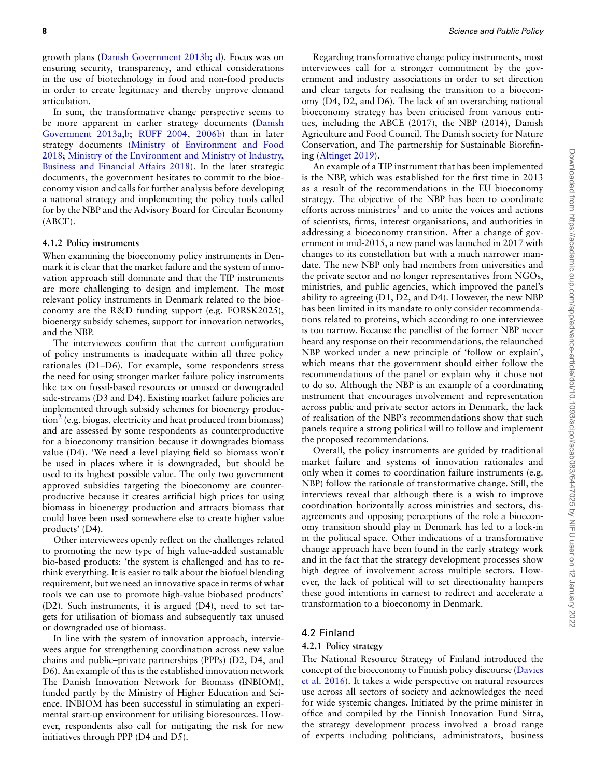growth plans [\(Danish Government 2013b](#page-16-32); [d](#page-16-34)). Focus was on ensuring security, transparency, and ethical considerations in the use of biotechnology in food and non-food products in order to create legitimacy and thereby improve demand articulation.

In sum, the transformative change perspective seems to be more apparent in earlier strategy documents [\(Danish](#page-16-31) [Government 2013a](#page-16-31)[,b](#page-16-32); [RUFF 2004,](#page-17-33) [2006b](#page-17-34)) than in later strategy documents([Ministry of Environment and Food](#page-17-30) [2018](#page-17-30); [Ministry of the Environment and Ministry of Industry,](#page-17-31) [Business and Financial Affairs 2018](#page-17-31)). In the later strategic documents, the government hesitates to commit to the bioeconomy vision and calls for further analysis before developing a national strategy and implementing the policy tools called for by the NBP and the Advisory Board for Circular Economy (ABCE).

## **4.1.2 Policy instruments**

When examining the bioeconomy policy instruments in Denmark it is clear that the market failure and the system of innovation approach still dominate and that the TIP instruments are more challenging to design and implement. The most relevant policy instruments in Denmark related to the bioeconomy are the R&D funding support (e.g. FORSK2025), bioenergy subsidy schemes, support for innovation networks, and the NBP.

The interviewees confirm that the current configuration of policy instruments is inadequate within all three policy rationales (D1–D6). For example, some respondents stress the need for using stronger market failure policy instruments like tax on fossil-based resources or unused or downgraded side-streams (D3 and D4). Existing market failure policies are implemented through subsidy schemes for bioenergy produc-tion<sup>[2](#page-1-1)</sup> (e.g. biogas, electricity and heat produced from biomass) and are assessed by some respondents as counterproductive for a bioeconomy transition because it downgrades biomass value (D4). 'We need a level playing field so biomass won't be used in places where it is downgraded, but should be used to its highest possible value. The only two government approved subsidies targeting the bioeconomy are counterproductive because it creates artificial high prices for using biomass in bioenergy production and attracts biomass that could have been used somewhere else to create higher value products' (D4).

Other interviewees openly reflect on the challenges related to promoting the new type of high value-added sustainable bio-based products: 'the system is challenged and has to rethink everything. It is easier to talk about the biofuel blending requirement, but we need an innovative space in terms of what tools we can use to promote high-value biobased products' (D2). Such instruments, it is argued (D4), need to set targets for utilisation of biomass and subsequently tax unused or downgraded use of biomass.

In line with the system of innovation approach, interviewees argue for strengthening coordination across new value chains and public–private partnerships (PPPs) (D2, D4, and D6). An example of this is the established innovation network The Danish Innovation Network for Biomass (INBIOM), funded partly by the Ministry of Higher Education and Science. INBIOM has been successful in stimulating an experimental start-up environment for utilising bioresources. However, respondents also call for mitigating the risk for new initiatives through PPP (D4 and D5).

Regarding transformative change policy instruments, most interviewees call for a stronger commitment by the government and industry associations in order to set direction and clear targets for realising the transition to a bioeconomy (D4, D2, and D6). The lack of an overarching national bioeconomy strategy has been criticised from various entities, including the ABCE (2017), the NBP (2014), Danish Agriculture and Food Council, The Danish society for Nature Conservation, and The partnership for Sustainable Biorefining([Altinget 2019\)](#page-15-6).

An example of a TIP instrument that has been implemented is the NBP, which was established for the first time in 2013 as a result of the recommendations in the EU bioeconomy strategy. The objective of the NBP has been to coordinate efforts across ministries<sup>[3](#page-1-1)</sup> and to unite the voices and actions of scientists, firms, interest organisations, and authorities in addressing a bioeconomy transition. After a change of government in mid-2015, a new panel was launched in 2017 with changes to its constellation but with a much narrower mandate. The new NBP only had members from universities and the private sector and no longer representatives from NGOs, ministries, and public agencies, which improved the panel's ability to agreeing (D1, D2, and D4). However, the new NBP has been limited in its mandate to only consider recommendations related to proteins, which according to one interviewee is too narrow. Because the panellist of the former NBP never heard any response on their recommendations, the relaunched NBP worked under a new principle of 'follow or explain', which means that the government should either follow the recommendations of the panel or explain why it chose not to do so. Although the NBP is an example of a coordinating instrument that encourages involvement and representation across public and private sector actors in Denmark, the lack of realisation of the NBP's recommendations show that such panels require a strong political will to follow and implement the proposed recommendations.

Overall, the policy instruments are guided by traditional market failure and systems of innovation rationales and only when it comes to coordination failure instruments (e.g. NBP) follow the rationale of transformative change. Still, the interviews reveal that although there is a wish to improve coordination horizontally across ministries and sectors, disagreements and opposing perceptions of the role a bioeconomy transition should play in Denmark has led to a lock-in in the political space. Other indications of a transformative change approach have been found in the early strategy work and in the fact that the strategy development processes show high degree of involvement across multiple sectors. However, the lack of political will to set directionality hampers these good intentions in earnest to redirect and accelerate a transformation to a bioeconomy in Denmark.

## 4.2 Finland

#### **4.2.1 Policy strategy**

The National Resource Strategy of Finland introduced the concept of the bioeconomy to Finnish policy discourse([Davies](#page-16-37) [et al. 2016](#page-16-37)). It takes a wide perspective on natural resources use across all sectors of society and acknowledges the need for wide systemic changes. Initiated by the prime minister in office and compiled by the Finnish Innovation Fund Sitra, the strategy development process involved a broad range of experts including politicians, administrators, business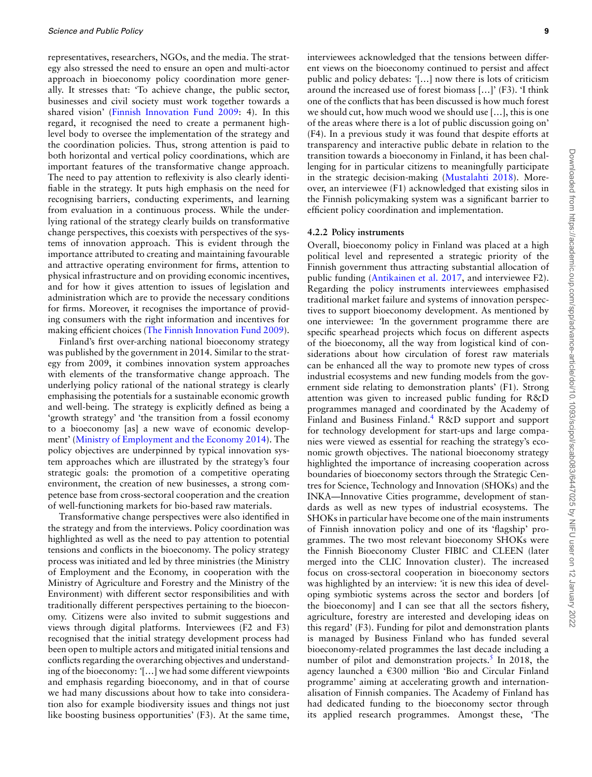representatives, researchers, NGOs, and the media. The strategy also stressed the need to ensure an open and multi-actor approach in bioeconomy policy coordination more generally. It stresses that: 'To achieve change, the public sector, businesses and civil society must work together towards a shared vision'([Finnish Innovation Fund 2009](#page-17-35): 4). In this regard, it recognised the need to create a permanent highlevel body to oversee the implementation of the strategy and the coordination policies. Thus, strong attention is paid to both horizontal and vertical policy coordinations, which are important features of the transformative change approach. The need to pay attention to reflexivity is also clearly identifiable in the strategy. It puts high emphasis on the need for recognising barriers, conducting experiments, and learning from evaluation in a continuous process. While the underlying rational of the strategy clearly builds on transformative change perspectives, this coexists with perspectives of the systems of innovation approach. This is evident through the importance attributed to creating and maintaining favourable and attractive operating environment for firms, attention to physical infrastructure and on providing economic incentives, and for how it gives attention to issues of legislation and administration which are to provide the necessary conditions for firms. Moreover, it recognises the importance of providing consumers with the right information and incentives for making efficient choices([The Finnish Innovation Fund 2009\)](#page-17-35).

Finland's first over-arching national bioeconomy strategy was published by the government in 2014. Similar to the strategy from 2009, it combines innovation system approaches with elements of the transformative change approach. The underlying policy rational of the national strategy is clearly emphasising the potentials for a sustainable economic growth and well-being. The strategy is explicitly defined as being a 'growth strategy' and 'the transition from a fossil economy to a bioeconomy [as] a new wave of economic development' [\(Ministry of Employment and the Economy 2014\)](#page-17-36). The policy objectives are underpinned by typical innovation system approaches which are illustrated by the strategy's four strategic goals: the promotion of a competitive operating environment, the creation of new businesses, a strong competence base from cross-sectoral cooperation and the creation of well-functioning markets for bio-based raw materials.

Transformative change perspectives were also identified in the strategy and from the interviews. Policy coordination was highlighted as well as the need to pay attention to potential tensions and conflicts in the bioeconomy. The policy strategy process was initiated and led by three ministries (the Ministry of Employment and the Economy, in cooperation with the Ministry of Agriculture and Forestry and the Ministry of the Environment) with different sector responsibilities and with traditionally different perspectives pertaining to the bioeconomy. Citizens were also invited to submit suggestions and views through digital platforms. Interviewees (F2 and F3) recognised that the initial strategy development process had been open to multiple actors and mitigated initial tensions and conflicts regarding the overarching objectives and understanding of the bioeconomy: *'*[…] we had some different viewpoints and emphasis regarding bioeconomy, and in that of course we had many discussions about how to take into consideration also for example biodiversity issues and things not just like boosting business opportunities' (F3). At the same time,

interviewees acknowledged that the tensions between different views on the bioeconomy continued to persist and affect public and policy debates: *'*[…] now there is lots of criticism around the increased use of forest biomass […]' (F3). 'I think one of the conflicts that has been discussed is how much forest we should cut, how much wood we should use […], this is one of the areas where there is a lot of public discussion going on' (F4). In a previous study it was found that despite efforts at transparency and interactive public debate in relation to the transition towards a bioeconomy in Finland, it has been challenging for in particular citizens to meaningfully participate in the strategic decision-making([Mustalahti 2018](#page-17-37)). Moreover, an interviewee (F1) acknowledged that existing silos in the Finnish policymaking system was a significant barrier to efficient policy coordination and implementation.

#### **4.2.2 Policy instruments**

Overall, bioeconomy policy in Finland was placed at a high political level and represented a strategic priority of the Finnish government thus attracting substantial allocation of public funding([Antikainen et al. 2017,](#page-15-7) and interviewee F2). Regarding the policy instruments interviewees emphasised traditional market failure and systems of innovation perspectives to support bioeconomy development. As mentioned by one interviewee: *'*In the government programme there are specific spearhead projects which focus on different aspects of the bioeconomy, all the way from logistical kind of considerations about how circulation of forest raw materials can be enhanced all the way to promote new types of cross industrial ecosystems and new funding models from the government side relating to demonstration plants' (F1). Strong attention was given to increased public funding for R&D programmes managed and coordinated by the Academy of Finland and Business Finland.<sup>[4](#page-1-1)</sup> R&D support and support for technology development for start-ups and large companies were viewed as essential for reaching the strategy's economic growth objectives. The national bioeconomy strategy highlighted the importance of increasing cooperation across boundaries of bioeconomy sectors through the Strategic Centres for Science, Technology and Innovation (SHOKs) and the INKA—Innovative Cities programme, development of standards as well as new types of industrial ecosystems. The SHOKs in particular have become one of the main instruments of Finnish innovation policy and one of its 'flagship' programmes. The two most relevant bioeconomy SHOKs were the Finnish Bioeconomy Cluster FIBIC and CLEEN (later merged into the CLIC Innovation cluster). The increased focus on cross-sectoral cooperation in bioeconomy sectors was highlighted by an interview: *'*it is new this idea of developing symbiotic systems across the sector and borders [of the bioeconomy] and I can see that all the sectors fishery, agriculture, forestry are interested and developing ideas on this regard' (F3). Funding for pilot and demonstration plants is managed by Business Finland who has funded several bioeconomy-related programmes the last decade including a number of pilot and demonstration projects.<sup>[5](#page-1-1)</sup> In 2018, the agency launched a €300 million 'Bio and Circular Finland programme' aiming at accelerating growth and internationalisation of Finnish companies. The Academy of Finland has had dedicated funding to the bioeconomy sector through its applied research programmes. Amongst these, 'The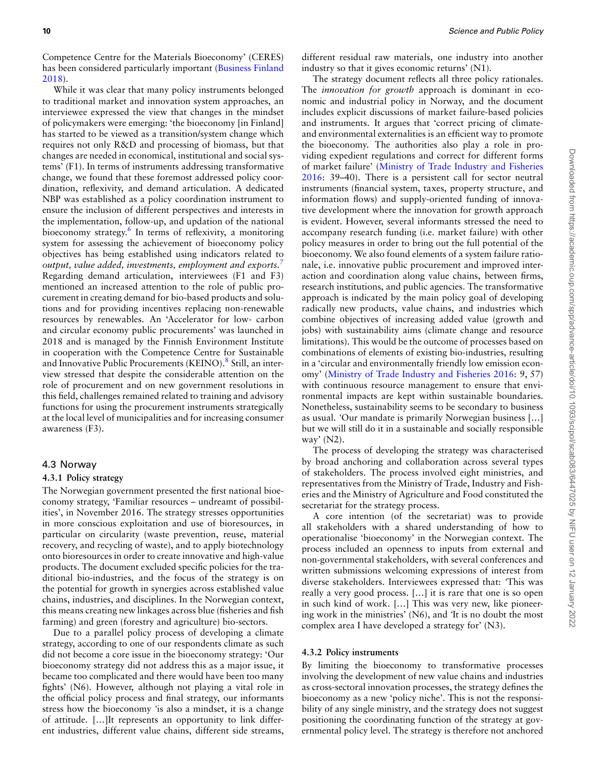Competence Centre for the Materials Bioeconomy' (CERES) has been considered particularly important [\(Business Finland](#page-15-8) [2018](#page-15-8)).

While it was clear that many policy instruments belonged to traditional market and innovation system approaches, an interviewee expressed the view that changes in the mindset of policymakers were emerging: 'the bioeconomy [in Finland] has started to be viewed as a transition/system change which requires not only R&D and processing of biomass, but that changes are needed in economical, institutional and social systems' (F1). In terms of instruments addressing transformative change, we found that these foremost addressed policy coordination, reflexivity, and demand articulation. A dedicated NBP was established as a policy coordination instrument to ensure the inclusion of different perspectives and interests in the implementation, follow-up, and updation of the national bioeconomy strategy.[6](#page-1-1) In terms of reflexivity, a monitoring system for assessing the achievement of bioeconomy policy objectives has being established using indicators related to *output, value added, investments, employment and exports.[7](#page-1-1)* Regarding demand articulation, interviewees (F1 and F3) mentioned an increased attention to the role of public procurement in creating demand for bio-based products and solutions and for providing incentives replacing non-renewable resources by renewables. An 'Accelerator for low- carbon and circular economy public procurements' was launched in 2018 and is managed by the Finnish Environment Institute in cooperation with the Competence Centre for Sustainable and Innovative Public Procurements (KEINO).<sup>[8](#page-1-1)</sup> Still, an interview stressed that despite the considerable attention on the role of procurement and on new government resolutions in this field, challenges remained related to training and advisory functions for using the procurement instruments strategically at the local level of municipalities and for increasing consumer awareness (F3).

## 4.3 Norway

#### **4.3.1 Policy strategy**

The Norwegian government presented the first national bioeconomy strategy, 'Familiar resources – undreamt of possibilities', in November 2016. The strategy stresses opportunities in more conscious exploitation and use of bioresources, in particular on circularity (waste prevention, reuse, material recovery, and recycling of waste), and to apply biotechnology onto bioresources in order to create innovative and high-value products. The document excluded specific policies for the traditional bio-industries, and the focus of the strategy is on the potential for growth in synergies across established value chains, industries, and disciplines. In the Norwegian context, this means creating new linkages across blue (fisheries and fish farming) and green (forestry and agriculture) bio-sectors.

Due to a parallel policy process of developing a climate strategy, according to one of our respondents climate as such did not become a core issue in the bioeconomy strategy: 'Our bioeconomy strategy did not address this as a major issue, it became too complicated and there would have been too many fights' (N6). However, although not playing a vital role in the official policy process and final strategy, our informants stress how the bioeconomy *'*is also a mindset, it is a change of attitude. […]It represents an opportunity to link different industries, different value chains, different side streams,

different residual raw materials, one industry into another industry so that it gives economic returns' (N1).

The strategy document reflects all three policy rationales. The *innovation for growth* approach is dominant in economic and industrial policy in Norway, and the document includes explicit discussions of market failure-based policies and instruments. It argues that 'correct pricing of climateand environmental externalities is an efficient way to promote the bioeconomy. The authorities also play a role in providing expedient regulations and correct for different forms of market failure' [\(Ministry of Trade Industry and Fisheries](#page-17-38) [2016](#page-17-38): 39–40). There is a persistent call for sector neutral instruments (financial system, taxes, property structure, and information flows) and supply-oriented funding of innovative development where the innovation for growth approach is evident. However, several informants stressed the need to accompany research funding (i.e. market failure) with other policy measures in order to bring out the full potential of the bioeconomy. We also found elements of a system failure rationale, i.e. innovative public procurement and improved interaction and coordination along value chains, between firms, research institutions, and public agencies. The transformative approach is indicated by the main policy goal of developing radically new products, value chains, and industries which combine objectives of increasing added value (growth and jobs) with sustainability aims (climate change and resource limitations). This would be the outcome of processes based on combinations of elements of existing bio-industries, resulting in a 'circular and environmentally friendly low emission economy'([Ministry of Trade Industry and Fisheries 2016](#page-17-38): 9, 57) with continuous resource management to ensure that environmental impacts are kept within sustainable boundaries. Nonetheless, sustainability seems to be secondary to business as usual. *'*Our mandate is primarily Norwegian business […] but we will still do it in a sustainable and socially responsible way' (N2).

The process of developing the strategy was characterised by broad anchoring and collaboration across several types of stakeholders. The process involved eight ministries, and representatives from the Ministry of Trade, Industry and Fisheries and the Ministry of Agriculture and Food constituted the secretariat for the strategy process.

A core intention (of the secretariat) was to provide all stakeholders with a shared understanding of how to operationalise 'bioeconomy' in the Norwegian context. The process included an openness to inputs from external and non-governmental stakeholders, with several conferences and written submissions welcoming expressions of interest from diverse stakeholders. Interviewees expressed that: *'*This was really a very good process. […] it is rare that one is so open in such kind of work. […] This was very new, like pioneering work in the ministries' (N6), and *'*It is no doubt the most complex area I have developed a strategy for' (N3).

## **4.3.2 Policy instruments**

By limiting the bioeconomy to transformative processes involving the development of new value chains and industries as cross-sectoral innovation processes, the strategy defines the bioeconomy as a new 'policy niche'. This is not the responsibility of any single ministry, and the strategy does not suggest positioning the coordinating function of the strategy at governmental policy level. The strategy is therefore not anchored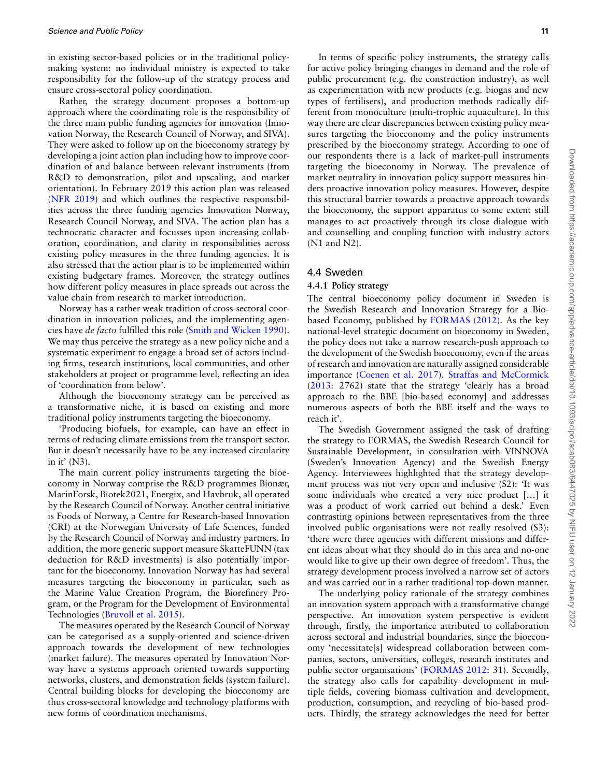in existing sector-based policies or in the traditional policymaking system: no individual ministry is expected to take responsibility for the follow-up of the strategy process and ensure cross-sectoral policy coordination.

Rather, the strategy document proposes a bottom-up approach where the coordinating role is the responsibility of the three main public funding agencies for innovation (Innovation Norway, the Research Council of Norway, and SIVA). They were asked to follow up on the bioeconomy strategy by developing a joint action plan including how to improve coordination of and balance between relevant instruments (from R&D to demonstration, pilot and upscaling, and market orientation). In February 2019 this action plan was released [\(NFR 2019](#page-16-38)) and which outlines the respective responsibilities across the three funding agencies Innovation Norway, Research Council Norway, and SIVA. The action plan has a technocratic character and focusses upon increasing collaboration, coordination, and clarity in responsibilities across existing policy measures in the three funding agencies. It is also stressed that the action plan is to be implemented within existing budgetary frames. Moreover, the strategy outlines how different policy measures in place spreads out across the value chain from research to market introduction.

Norway has a rather weak tradition of cross-sectoral coordination in innovation policies, and the implementing agencies have *de facto* fulfilled this role([Smith and Wicken 1990\)](#page-17-39). We may thus perceive the strategy as a new policy niche and a systematic experiment to engage a broad set of actors including firms, research institutions, local communities, and other stakeholders at project or programme level, reflecting an idea of 'coordination from below'.

Although the bioeconomy strategy can be perceived as a transformative niche, it is based on existing and more traditional policy instruments targeting the bioeconomy.

'Producing biofuels, for example, can have an effect in terms of reducing climate emissions from the transport sector. But it doesn't necessarily have to be any increased circularity in it' (N3).

The main current policy instruments targeting the bioeconomy in Norway comprise the R&D programmes Bionær, MarinForsk, Biotek2021, Energix, and Havbruk, all operated by the Research Council of Norway. Another central initiative is Foods of Norway, a Centre for Research-based Innovation (CRI) at the Norwegian University of Life Sciences, funded by the Research Council of Norway and industry partners. In addition, the more generic support measure SkatteFUNN (tax deduction for R&D investments) is also potentially important for the bioeconomy. Innovation Norway has had several measures targeting the bioeconomy in particular, such as the Marine Value Creation Program, the Biorefinery Program, or the Program for the Development of Environmental Technologies [\(Bruvoll et al. 2015](#page-15-9)).

The measures operated by the Research Council of Norway can be categorised as a supply-oriented and science-driven approach towards the development of new technologies (market failure). The measures operated by Innovation Norway have a systems approach oriented towards supporting networks, clusters, and demonstration fields (system failure). Central building blocks for developing the bioeconomy are thus cross-sectoral knowledge and technology platforms with new forms of coordination mechanisms.

In terms of specific policy instruments, the strategy calls for active policy bringing changes in demand and the role of public procurement (e.g. the construction industry), as well as experimentation with new products (e.g. biogas and new types of fertilisers), and production methods radically different from monoculture (multi-trophic aquaculture). In this way there are clear discrepancies between existing policy measures targeting the bioeconomy and the policy instruments prescribed by the bioeconomy strategy. According to one of our respondents there is a lack of market-pull instruments targeting the bioeconomy in Norway. The prevalence of market neutrality in innovation policy support measures hinders proactive innovation policy measures. However, despite this structural barrier towards a proactive approach towards the bioeconomy, the support apparatus to some extent still manages to act proactively through its close dialogue with and counselling and coupling function with industry actors (N1 and N2).

#### 4.4 Sweden

#### **4.4.1 Policy strategy**

The central bioeconomy policy document in Sweden is the Swedish Research and Innovation Strategy for a Biobased Economy, published by [FORMAS \(2012\)](#page-16-11). As the key national-level strategic document on bioeconomy in Sweden, the policy does not take a narrow research-push approach to the development of the Swedish bioeconomy, even if the areas of research and innovation are naturally assigned considerable importance [\(Coenen et al. 2017](#page-16-39)). [Straffas and McCormick](#page-17-7) [\(2013:](#page-17-7) 2762) state that the strategy 'clearly has a broad approach to the BBE [bio-based economy] and addresses numerous aspects of both the BBE itself and the ways to reach it'.

The Swedish Government assigned the task of drafting the strategy to FORMAS, the Swedish Research Council for Sustainable Development, in consultation with VINNOVA (Sweden's Innovation Agency) and the Swedish Energy Agency. Interviewees highlighted that the strategy development process was not very open and inclusive (S2): 'It was some individuals who created a very nice product […] it was a product of work carried out behind a desk.' Even contrasting opinions between representatives from the three involved public organisations were not really resolved (S3): 'there were three agencies with different missions and different ideas about what they should do in this area and no-one would like to give up their own degree of freedom'. Thus, the strategy development process involved a narrow set of actors and was carried out in a rather traditional top-down manner.

The underlying policy rationale of the strategy combines an innovation system approach with a transformative change perspective. An innovation system perspective is evident through, firstly, the importance attributed to collaboration across sectoral and industrial boundaries, since the bioeconomy 'necessitate[s] widespread collaboration between companies, sectors, universities, colleges, research institutes and public sector organisations' [\(FORMAS 2012:](#page-16-11) 31). Secondly, the strategy also calls for capability development in multiple fields, covering biomass cultivation and development, production, consumption, and recycling of bio-based products. Thirdly, the strategy acknowledges the need for better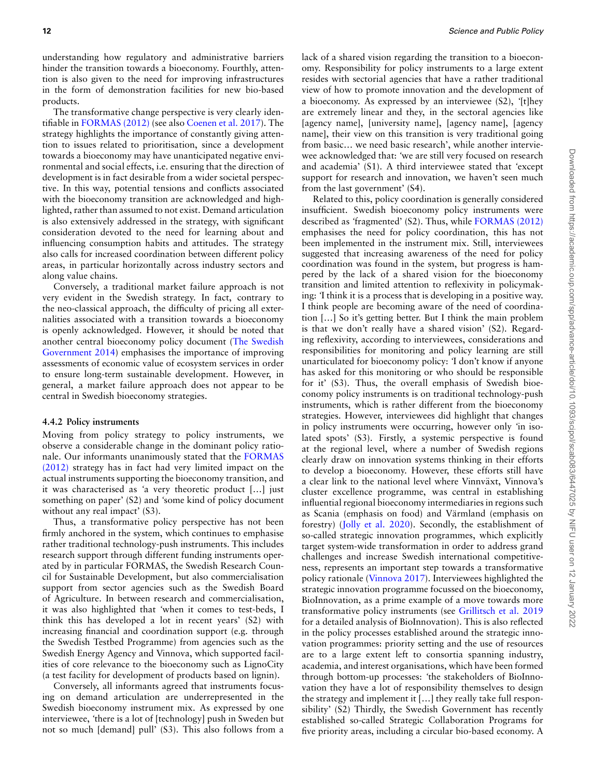understanding how regulatory and administrative barriers hinder the transition towards a bioeconomy. Fourthly, attention is also given to the need for improving infrastructures in the form of demonstration facilities for new bio-based products.

The transformative change perspective is very clearly identifiable in [FORMAS \(2012\)](#page-16-11) (see also [Coenen et al. 2017](#page-16-39)). The strategy highlights the importance of constantly giving attention to issues related to prioritisation, since a development towards a bioeconomy may have unanticipated negative environmental and social effects, i.e. ensuring that the direction of development is in fact desirable from a wider societal perspective. In this way, potential tensions and conflicts associated with the bioeconomy transition are acknowledged and highlighted, rather than assumed to not exist. Demand articulation is also extensively addressed in the strategy, with significant consideration devoted to the need for learning about and influencing consumption habits and attitudes. The strategy also calls for increased coordination between different policy areas, in particular horizontally across industry sectors and along value chains.

Conversely, a traditional market failure approach is not very evident in the Swedish strategy. In fact, contrary to the neo-classical approach, the difficulty of pricing all externalities associated with a transition towards a bioeconomy is openly acknowledged. However, it should be noted that another central bioeconomy policy document [\(The Swedish](#page-17-40) [Government 2014](#page-17-40)) emphasises the importance of improving assessments of economic value of ecosystem services in order to ensure long-term sustainable development. However, in general, a market failure approach does not appear to be central in Swedish bioeconomy strategies.

#### **4.4.2 Policy instruments**

Moving from policy strategy to policy instruments, we observe a considerable change in the dominant policy rationale. Our informants unanimously stated that the [FORMAS](#page-16-11) [\(2012\)](#page-16-11) strategy has in fact had very limited impact on the actual instruments supporting the bioeconomy transition, and it was characterised as *'*a very theoretic product […] just something on paper' (S2) and *'*some kind of policy document without any real impact' (S3).

Thus, a transformative policy perspective has not been firmly anchored in the system, which continues to emphasise rather traditional technology-push instruments. This includes research support through different funding instruments operated by in particular FORMAS, the Swedish Research Council for Sustainable Development, but also commercialisation support from sector agencies such as the Swedish Board of Agriculture. In between research and commercialisation, it was also highlighted that *'*when it comes to test-beds, I think this has developed a lot in recent years' (S2) with increasing financial and coordination support (e.g. through the Swedish Testbed Programme) from agencies such as the Swedish Energy Agency and Vinnova, which supported facilities of core relevance to the bioeconomy such as LignoCity (a test facility for development of products based on lignin).

Conversely, all informants agreed that instruments focusing on demand articulation are underrepresented in the Swedish bioeconomy instrument mix. As expressed by one interviewee, *'*there is a lot of [technology] push in Sweden but not so much [demand] pull' (S3). This also follows from a

lack of a shared vision regarding the transition to a bioeconomy. Responsibility for policy instruments to a large extent resides with sectorial agencies that have a rather traditional view of how to promote innovation and the development of a bioeconomy. As expressed by an interviewee (S2), *'*[t]hey are extremely linear and they, in the sectoral agencies like [agency name], [university name], [agency name], [agency name], their view on this transition is very traditional going from basic… we need basic research', while another interviewee acknowledged that: *'*we are still very focused on research and academia' (S1). A third interviewee stated that *'*except support for research and innovation, we haven't seen much from the last government' (S4).

Related to this, policy coordination is generally considered insufficient. Swedish bioeconomy policy instruments were described as *'*fragmented' (S2). Thus, while [FORMAS \(2012\)](#page-16-11) emphasises the need for policy coordination, this has not been implemented in the instrument mix. Still, interviewees suggested that increasing awareness of the need for policy coordination was found in the system, but progress is hampered by the lack of a shared vision for the bioeconomy transition and limited attention to reflexivity in policymaking: *'*I think it is a process that is developing in a positive way. I think people are becoming aware of the need of coordination […] So it's getting better. But I think the main problem is that we don't really have a shared vision' (S2). Regarding reflexivity, according to interviewees, considerations and responsibilities for monitoring and policy learning are still unarticulated for bioeconomy policy: *'*I don't know if anyone has asked for this monitoring or who should be responsible for it' (S3). Thus, the overall emphasis of Swedish bioeconomy policy instruments is on traditional technology-push instruments, which is rather different from the bioeconomy strategies. However, interviewees did highlight that changes in policy instruments were occurring, however only *'*in isolated spots' (S3). Firstly, a systemic perspective is found at the regional level, where a number of Swedish regions clearly draw on innovation systems thinking in their efforts to develop a bioeconomy. However, these efforts still have a clear link to the national level where Vinnväxt, Vinnova's cluster excellence programme, was central in establishing influential regional bioeconomy intermediaries in regions such as Scania (emphasis on food) and Värmland (emphasis on forestry) [\(Jolly et al. 2020](#page-16-40)). Secondly, the establishment of so-called strategic innovation programmes, which explicitly target system-wide transformation in order to address grand challenges and increase Swedish international competitiveness, represents an important step towards a transformative policy rationale([Vinnova 2017\)](#page-18-3). Interviewees highlighted the strategic innovation programme focussed on the bioeconomy, BioInnovation, as a prime example of a move towards more transformative policy instruments (see [Grillitsch et al. 2019](#page-16-1) for a detailed analysis of BioInnovation). This is also reflected in the policy processes established around the strategic innovation programmes: priority setting and the use of resources are to a large extent left to consortia spanning industry, academia, and interest organisations, which have been formed through bottom-up processes: *'*the stakeholders of BioInnovation they have a lot of responsibility themselves to design the strategy and implement it […] they really take full responsibility' (S2) Thirdly, the Swedish Government has recently established so-called Strategic Collaboration Programs for five priority areas, including a circular bio-based economy. A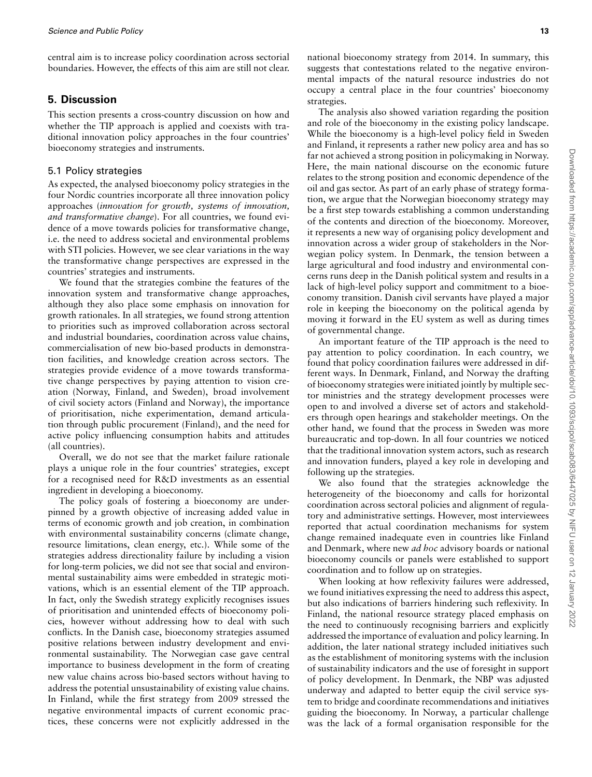central aim is to increase policy coordination across sectorial boundaries. However, the effects of this aim are still not clear.

# <span id="page-12-0"></span>**5. Discussion**

This section presents a cross-country discussion on how and whether the TIP approach is applied and coexists with traditional innovation policy approaches in the four countries' bioeconomy strategies and instruments.

## 5.1 Policy strategies

As expected, the analysed bioeconomy policy strategies in the four Nordic countries incorporate all three innovation policy approaches (*innovation for growth, systems of innovation, and transformative change*). For all countries, we found evidence of a move towards policies for transformative change, i.e. the need to address societal and environmental problems with STI policies. However, we see clear variations in the way the transformative change perspectives are expressed in the countries' strategies and instruments.

We found that the strategies combine the features of the innovation system and transformative change approaches, although they also place some emphasis on innovation for growth rationales. In all strategies, we found strong attention to priorities such as improved collaboration across sectoral and industrial boundaries, coordination across value chains, commercialisation of new bio-based products in demonstration facilities, and knowledge creation across sectors. The strategies provide evidence of a move towards transformative change perspectives by paying attention to vision creation (Norway, Finland, and Sweden), broad involvement of civil society actors (Finland and Norway), the importance of prioritisation, niche experimentation, demand articulation through public procurement (Finland), and the need for active policy influencing consumption habits and attitudes (all countries).

Overall, we do not see that the market failure rationale plays a unique role in the four countries' strategies, except for a recognised need for R&D investments as an essential ingredient in developing a bioeconomy.

The policy goals of fostering a bioeconomy are underpinned by a growth objective of increasing added value in terms of economic growth and job creation, in combination with environmental sustainability concerns (climate change, resource limitations, clean energy, etc.). While some of the strategies address directionality failure by including a vision for long-term policies, we did not see that social and environmental sustainability aims were embedded in strategic motivations, which is an essential element of the TIP approach. In fact, only the Swedish strategy explicitly recognises issues of prioritisation and unintended effects of bioeconomy policies, however without addressing how to deal with such conflicts. In the Danish case, bioeconomy strategies assumed positive relations between industry development and environmental sustainability. The Norwegian case gave central importance to business development in the form of creating new value chains across bio-based sectors without having to address the potential unsustainability of existing value chains. In Finland, while the first strategy from 2009 stressed the negative environmental impacts of current economic practices, these concerns were not explicitly addressed in the

national bioeconomy strategy from 2014. In summary, this suggests that contestations related to the negative environmental impacts of the natural resource industries do not occupy a central place in the four countries' bioeconomy strategies.

The analysis also showed variation regarding the position and role of the bioeconomy in the existing policy landscape. While the bioeconomy is a high-level policy field in Sweden and Finland, it represents a rather new policy area and has so far not achieved a strong position in policymaking in Norway. Here, the main national discourse on the economic future relates to the strong position and economic dependence of the oil and gas sector. As part of an early phase of strategy formation, we argue that the Norwegian bioeconomy strategy may be a first step towards establishing a common understanding of the contents and direction of the bioeconomy. Moreover, it represents a new way of organising policy development and innovation across a wider group of stakeholders in the Norwegian policy system. In Denmark, the tension between a large agricultural and food industry and environmental concerns runs deep in the Danish political system and results in a lack of high-level policy support and commitment to a bioeconomy transition. Danish civil servants have played a major role in keeping the bioeconomy on the political agenda by moving it forward in the EU system as well as during times of governmental change.

An important feature of the TIP approach is the need to pay attention to policy coordination. In each country, we found that policy coordination failures were addressed in different ways. In Denmark, Finland, and Norway the drafting of bioeconomy strategies were initiated jointly by multiple sector ministries and the strategy development processes were open to and involved a diverse set of actors and stakeholders through open hearings and stakeholder meetings. On the other hand, we found that the process in Sweden was more bureaucratic and top-down. In all four countries we noticed that the traditional innovation system actors, such as research and innovation funders, played a key role in developing and following up the strategies.

We also found that the strategies acknowledge the heterogeneity of the bioeconomy and calls for horizontal coordination across sectoral policies and alignment of regulatory and administrative settings. However, most interviewees reported that actual coordination mechanisms for system change remained inadequate even in countries like Finland and Denmark, where new *ad hoc* advisory boards or national bioeconomy councils or panels were established to support coordination and to follow up on strategies.

When looking at how reflexivity failures were addressed, we found initiatives expressing the need to address this aspect, but also indications of barriers hindering such reflexivity. In Finland, the national resource strategy placed emphasis on the need to continuously recognising barriers and explicitly addressed the importance of evaluation and policy learning. In addition, the later national strategy included initiatives such as the establishment of monitoring systems with the inclusion of sustainability indicators and the use of foresight in support of policy development. In Denmark, the NBP was adjusted underway and adapted to better equip the civil service system to bridge and coordinate recommendations and initiatives guiding the bioeconomy. In Norway, a particular challenge was the lack of a formal organisation responsible for the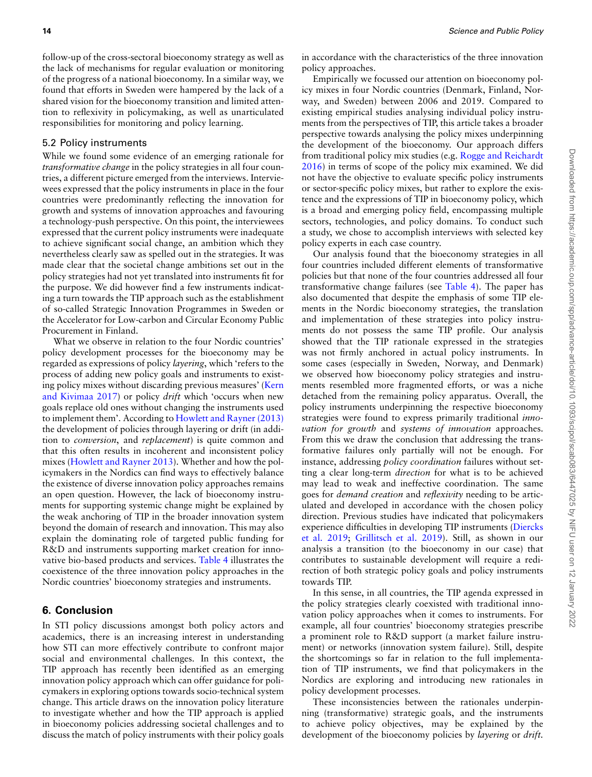follow-up of the cross-sectoral bioeconomy strategy as well as the lack of mechanisms for regular evaluation or monitoring of the progress of a national bioeconomy. In a similar way, we found that efforts in Sweden were hampered by the lack of a shared vision for the bioeconomy transition and limited attention to reflexivity in policymaking, as well as unarticulated responsibilities for monitoring and policy learning.

## 5.2 Policy instruments

While we found some evidence of an emerging rationale for *transformative change* in the policy strategies in all four countries, a different picture emerged from the interviews. Interviewees expressed that the policy instruments in place in the four countries were predominantly reflecting the innovation for growth and systems of innovation approaches and favouring a technology-push perspective. On this point, the interviewees expressed that the current policy instruments were inadequate to achieve significant social change, an ambition which they nevertheless clearly saw as spelled out in the strategies. It was made clear that the societal change ambitions set out in the policy strategies had not yet translated into instruments fit for the purpose. We did however find a few instruments indicating a turn towards the TIP approach such as the establishment of so-called Strategic Innovation Programmes in Sweden or the Accelerator for Low-carbon and Circular Economy Public Procurement in Finland.

What we observe in relation to the four Nordic countries' policy development processes for the bioeconomy may be regarded as expressions of policy *layering*, which 'refers to the process of adding new policy goals and instruments to existing policy mixes without discarding previous measures' [\(Kern](#page-16-20) [and Kivimaa 2017](#page-16-20)) or policy *drift* which 'occurs when new goals replace old ones without changing the instruments used to implement them'. According to [Howlett and Rayner \(2013\)](#page-16-41) the development of policies through layering or drift (in addition to *conversion*, and *replacement*) is quite common and that this often results in incoherent and inconsistent policy mixes([Howlett and Rayner 2013](#page-16-41)). Whether and how the policymakers in the Nordics can find ways to effectively balance the existence of diverse innovation policy approaches remains an open question. However, the lack of bioeconomy instruments for supporting systemic change might be explained by the weak anchoring of TIP in the broader innovation system beyond the domain of research and innovation. This may also explain the dominating role of targeted public funding for R&D and instruments supporting market creation for innovative bio-based products and services. Table 4 illustrates the coexistence of the three innovation policy approaches in the Nordic countries' bioeconomy strategies and instruments.

#### **6. Conclusion**

In STI policy discussions amongst both policy actors and academics, there is an increasing interest in understanding how STI can more effectively contribute to confront major social and environmental challenges. In this context, the TIP approach has recently been identified as an emerging innovation policy approach which can offer guidance for policymakers in exploring options towards socio-technical system change. This article draws on the innovation policy literature to investigate whether and how the TIP approach is applied in bioeconomy policies addressing societal challenges and to discuss the match of policy instruments with their policy goals

in accordance with the characteristics of the three innovation policy approaches.

Empirically we focussed our attention on bioeconomy policy mixes in four Nordic countries (Denmark, Finland, Norway, and Sweden) between 2006 and 2019. Compared to existing empirical studies analysing individual policy instruments from the perspectives of TIP, this article takes a broader perspective towards analysing the policy mixes underpinning the development of the bioeconomy. Our approach differs from traditional policy mix studies (e.g. [Rogge and Reichardt](#page-17-18) [2016](#page-17-18)) in terms of scope of the policy mix examined. We did not have the objective to evaluate specific policy instruments or sector-specific policy mixes, but rather to explore the existence and the expressions of TIP in bioeconomy policy, which is a broad and emerging policy field, encompassing multiple sectors, technologies, and policy domains. To conduct such a study, we chose to accomplish interviews with selected key policy experts in each case country.

Our analysis found that the bioeconomy strategies in all four countries included different elements of transformative policies but that none of the four countries addressed all four transformative change failures (see Table 4). The paper has also documented that despite the emphasis of some TIP elements in the Nordic bioeconomy strategies, the translation and implementation of these strategies into policy instruments do not possess the same TIP profile. Our analysis showed that the TIP rationale expressed in the strategies was not firmly anchored in actual policy instruments. In some cases (especially in Sweden, Norway, and Denmark) we observed how bioeconomy policy strategies and instruments resembled more fragmented efforts, or was a niche detached from the remaining policy apparatus. Overall, the policy instruments underpinning the respective bioeconomy strategies were found to express primarily traditional *innovation for growth* and *systems of innovation* approaches. From this we draw the conclusion that addressing the transformative failures only partially will not be enough. For instance, addressing *policy coordination* failures without setting a clear long-term *direction* for what is to be achieved may lead to weak and ineffective coordination. The same goes for *demand creation* and *reflexivity* needing to be articulated and developed in accordance with the chosen policy direction. Previous studies have indicated that policymakers experience difficulties in developing TIP instruments [\(Diercks](#page-16-2) [et al. 2019](#page-16-2); [Grillitsch et al. 2019](#page-16-1)). Still, as shown in our analysis a transition (to the bioeconomy in our case) that contributes to sustainable development will require a redirection of both strategic policy goals and policy instruments towards TIP.

In this sense, in all countries, the TIP agenda expressed in the policy strategies clearly coexisted with traditional innovation policy approaches when it comes to instruments. For example, all four countries' bioeconomy strategies prescribe a prominent role to R&D support (a market failure instrument) or networks (innovation system failure). Still, despite the shortcomings so far in relation to the full implementation of TIP instruments, we find that policymakers in the Nordics are exploring and introducing new rationales in policy development processes.

These inconsistencies between the rationales underpinning (transformative) strategic goals, and the instruments to achieve policy objectives, may be explained by the development of the bioeconomy policies by *layering* or *drift.*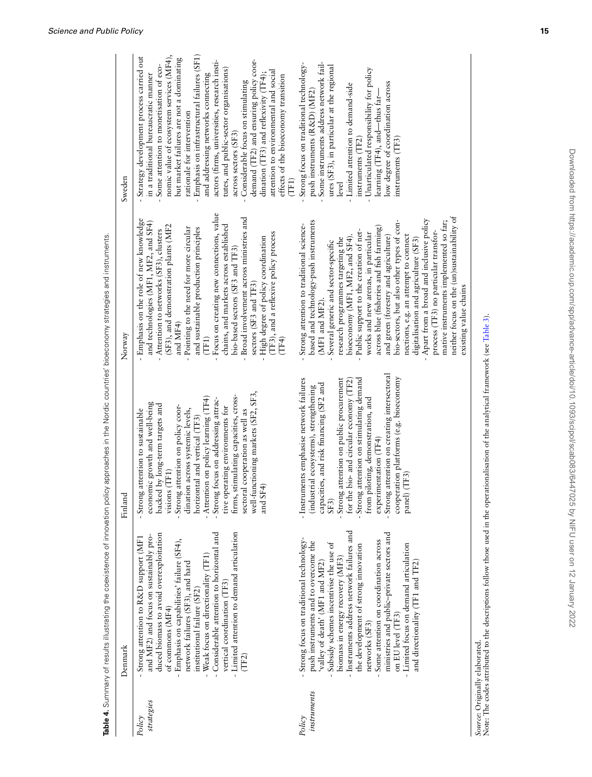|                      | Denmark                                                                                                                                                                                                                                                                                                                                                                                                                                                                                             | Finland                                                                                                                                                                                                                                                                                                                                                                                                                                                                                                 | Norway                                                                                                                                                                                                                                                                                                                                                                                                                                                                                                                                                                                                                                                                                                                    | Sweden                                                                                                                                                                                                                                                                                                                                                                                                                                                                                                                                                                                                                                                                    |
|----------------------|-----------------------------------------------------------------------------------------------------------------------------------------------------------------------------------------------------------------------------------------------------------------------------------------------------------------------------------------------------------------------------------------------------------------------------------------------------------------------------------------------------|---------------------------------------------------------------------------------------------------------------------------------------------------------------------------------------------------------------------------------------------------------------------------------------------------------------------------------------------------------------------------------------------------------------------------------------------------------------------------------------------------------|---------------------------------------------------------------------------------------------------------------------------------------------------------------------------------------------------------------------------------------------------------------------------------------------------------------------------------------------------------------------------------------------------------------------------------------------------------------------------------------------------------------------------------------------------------------------------------------------------------------------------------------------------------------------------------------------------------------------------|---------------------------------------------------------------------------------------------------------------------------------------------------------------------------------------------------------------------------------------------------------------------------------------------------------------------------------------------------------------------------------------------------------------------------------------------------------------------------------------------------------------------------------------------------------------------------------------------------------------------------------------------------------------------------|
| strategies<br>Policy | - Considerable attention to horizontal and<br>- Limited attention to demand articulation<br>duced biomass to avoid overexploitation<br>and MF2) and focus on sustainably pro-<br>Strong attention to R&D support (MF1<br>- Emphasis on capabilities' failure (SF4),<br>- Weak focus on directionality (TF1)<br>network failures (SF3), and hard<br>vertical coordination (TF3)<br>institutional failure (SF2)<br>of commons (MF4)<br>(TF2)                                                          | well-functioning markets (SF2, SF3,<br>is, stimulating capacities, cross-<br>- Attention on policy learning (TF4)<br>- Strong focus on addressing attrac-<br>economic growth and well-being<br>backed by long-term targets and<br>tive operating environments for<br>- Strong attention on policy coor-<br>- Strong attention to sustainable<br>sectoral cooperation as well as<br>dination across systemic levels,<br>horizontal and vertical (TF3)<br>visions (TF1)<br>SF4)<br>e<br>firm<br>$\vec{a}$ | - Focus on creating new connections, value<br>Broad involvement across ministries and<br>- Emphasis on the role of new knowledge<br>and technologies (MF1, MF2, and SF4)<br>chains, and markets across established<br>(SF3), and demonstration plants (MF2<br>Pointing to the need for more circular<br>and sustainable production principles<br>Attention to networks (SF3), clusters<br>(TF3), and a reflexive policy process<br>High degree of policy coordination<br>bio-based sectors (SF3 and TF3)<br>sectors (SF3 and TF3)<br>and MF4)<br>(TF4)<br>(TF1)                                                                                                                                                           | Emphasis on infrastructural failures (SF1)<br>Strategy development process carried out<br>nomic value of ecosystem services (MF4),<br>but market failures are not a dominating<br>demand (TF2) and ensuring policy coor-<br>and addressing networks connecting<br>actors (firms, universities, research insti-<br>Some attention to monetisation of eco-<br>tutes, and public-sector organisations)<br>attention to environmental and social<br>dination (TF3) and reflexivity (TF4);<br>in a traditional bureaucratic manner<br>effects of the bioeconomy transition<br>Considerable focus on stimulating<br>rationale for intervention<br>across sectors (SF3)<br>(TF1) |
| mstruments<br>Policy | - Instruments address network failures and<br>ministries and public-private sectors and<br>Strong focus on traditional technology-<br>Some attention on coordination across<br>push instruments and to overcome the<br>ð<br>- Limited focus on demand articulation<br>the development of strong innovation<br>Subsidy schemes incentivise the use<br>biomass in energy recovery (MF3)<br>and directionality (TF1 and TF2)<br>'valley of death' (MF1 and MF2)<br>on EU level (TF3)<br>networks (SF3) | - Strong attention on creating intersectoral<br>cooperation platforms (e.g. bioeconomy<br>- Instruments emphasise network failures<br>- Strong attention on public procurement<br>- Strong attention on stimulating demand<br>from piloting, demonstration, and<br>for the bio- and circular economy (TF2)<br>capacities, and risk financing (SF2 and<br>(industrial ecosystems), strengthening<br>experimentation (TF4)<br>panel) (TF3)<br>SF3                                                         | neither focus on the (un)sustainability of<br>Apart from a broad and inclusive policy<br>based and technology-push instruments<br>mative instruments implemented so far;<br>bio-sectors, but also other types of con-<br>Strong attention to traditional science-<br>across blue (fisheries and fish farming)<br>Public support to the creation of net-<br>process (TF3) no particular transfor-<br>works and new arenas, in particular<br>bioeconomy (MF1, MF2, and SF4).<br>nections, e.g. an attempt to connect<br>and green (forestry and agriculture)<br>research programmes targeting the<br>digitalisation and agriculture (SF3)<br>Several generic and sector-specific<br>existing value chains<br>(MF1 and MF2). | Some instruments address network fail-<br>Strong focus on traditional technology-<br>ures (SF3), in particular at the regional<br>Unarticulated responsibility for policy<br>low degree of coordination across<br>- Limited attention to demand-side<br>push instruments (R&D) (MF2)<br>learning (TF4), and—thus far-<br>instruments (TF3)<br>instruments (TF2)<br>level                                                                                                                                                                                                                                                                                                  |

Downloaded from https://academic.oup.com/spp/advance-article/doi/10.1093/scipol/scab083/6447025 by NIFU user on 12 January 2022 Downloaded from https://academic.oup.com/spp/advance-article/doi/10.1093/scipol/scab083/6447025 by NIFU user on 12 January 2022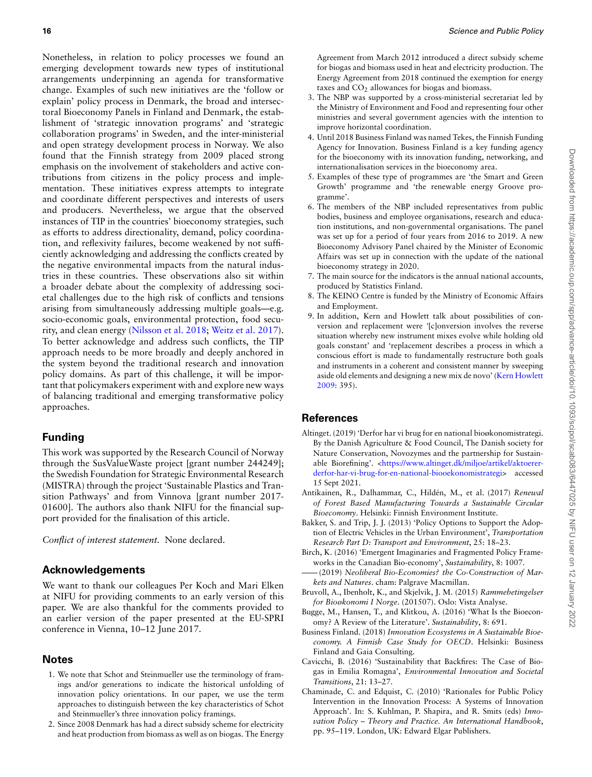Nonetheless, in relation to policy processes we found an emerging development towards new types of institutional arrangements underpinning an agenda for transformative change. Examples of such new initiatives are the 'follow or explain' policy process in Denmark, the broad and intersectoral Bioeconomy Panels in Finland and Denmark, the establishment of 'strategic innovation programs' and 'strategic collaboration programs' in Sweden, and the inter-ministerial and open strategy development process in Norway. We also found that the Finnish strategy from 2009 placed strong emphasis on the involvement of stakeholders and active contributions from citizens in the policy process and implementation. These initiatives express attempts to integrate and coordinate different perspectives and interests of users and producers. Nevertheless, we argue that the observed instances of TIP in the countries' bioeconomy strategies, such as efforts to address directionality, demand, policy coordination, and reflexivity failures, become weakened by not sufficiently acknowledging and addressing the conflicts created by the negative environmental impacts from the natural industries in these countries. These observations also sit within a broader debate about the complexity of addressing societal challenges due to the high risk of conflicts and tensions arising from simultaneously addressing multiple goals—e.g. socio-economic goals, environmental protection, food security, and clean energy([Nilsson et al. 2018;](#page-17-41) [Weitz et al. 2017\)](#page-18-4). To better acknowledge and address such conflicts, the TIP approach needs to be more broadly and deeply anchored in the system beyond the traditional research and innovation policy domains. As part of this challenge, it will be important that policymakers experiment with and explore new ways of balancing traditional and emerging transformative policy approaches.

# **Funding**

This work was supported by the Research Council of Norway through the SusValueWaste project [grant number 244249]; the Swedish Foundation for Strategic Environmental Research (MISTRA) through the project 'Sustainable Plastics and Transition Pathways' and from Vinnova [grant number 2017- 01600]. The authors also thank NIFU for the financial support provided for the finalisation of this article.

*Conflict of interest statement.* None declared.

# **Acknowledgements**

We want to thank our colleagues Per Koch and Mari Elken at NIFU for providing comments to an early version of this paper. We are also thankful for the comments provided to an earlier version of the paper presented at the EU-SPRI conference in Vienna, 10–12 June 2017.

# **Notes**

- 1. We note that Schot and Steinmueller use the terminology of framings and/or generations to indicate the historical unfolding of innovation policy orientations. In our paper, we use the term approaches to distinguish between the key characteristics of Schot and Steinmueller's three innovation policy framings.
- 2. Since 2008 Denmark has had a direct subsidy scheme for electricity and heat production from biomass as well as on biogas. The Energy

Agreement from March 2012 introduced a direct subsidy scheme for biogas and biomass used in heat and electricity production. The Energy Agreement from 2018 continued the exemption for energy taxes and  $CO<sub>2</sub>$  allowances for biogas and biomass.

- 3. The NBP was supported by a cross-ministerial secretariat led by the Ministry of Environment and Food and representing four other ministries and several government agencies with the intention to improve horizontal coordination.
- 4. Until 2018 Business Finland was named Tekes, the Finnish Funding Agency for Innovation. Business Finland is a key funding agency for the bioeconomy with its innovation funding, networking, and internationalisation services in the bioeconomy area.
- 5. Examples of these type of programmes are 'the Smart and Green Growth' programme and 'the renewable energy Groove programme'.
- 6. The members of the NBP included representatives from public bodies, business and employee organisations, research and education institutions, and non-governmental organisations. The panel was set up for a period of four years from 2016 to 2019. A new Bioeconomy Advisory Panel chaired by the Minister of Economic Affairs was set up in connection with the update of the national bioeconomy strategy in 2020.
- 7. The main source for the indicators is the annual national accounts, produced by Statistics Finland.
- 8. The KEINO Centre is funded by the Ministry of Economic Affairs and Employment.
- 9. In addition, Kern and Howlett talk about possibilities of conversion and replacement were *'*[c]onversion involves the reverse situation whereby new instrument mixes evolve while holding old goals constant' and 'replacement describes a process in which a conscious effort is made to fundamentally restructure both goals and instruments in a coherent and consistent manner by sweeping aside old elements and designing a new mix de novo'([Kern Howlett](#page-16-42) [2009:](#page-16-42) 395).

# **References**

- <span id="page-15-6"></span>Altinget. (2019) 'Derfor har vi brug for en national bioøkonomistrategi. By the Danish Agriculture & Food Council, The Danish society for Nature Conservation, Novozymes and the partnership for Sustain-able Biorefining'. [<https://www.altinget.dk/miljoe/artikel/aktoerer](https://www.altinget.dk/miljoe/artikel/aktoerer-derfor-har-vi-brug-for-en-national-biooekonomistrategi)[derfor-har-vi-brug-for-en-national-biooekonomistrategi](https://www.altinget.dk/miljoe/artikel/aktoerer-derfor-har-vi-brug-for-en-national-biooekonomistrategi)> accessed 15 Sept 2021.
- <span id="page-15-7"></span>Antikainen, R., Dalhammar, C., Hildén, M., et al. (2017) *Renewal of Forest Based Manufacturing Towards a Sustainable Circular Bioeconomy*. Helsinki: Finnish Environment Institute.
- <span id="page-15-2"></span>Bakker, S. and Trip, J. J. (2013) 'Policy Options to Support the Adoption of Electric Vehicles in the Urban Environment', *Transportation Research Part D: Transport and Environment*, 25: 18–23.
- <span id="page-15-4"></span>Birch, K. (2016) 'Emergent Imaginaries and Fragmented Policy Frameworks in the Canadian Bio-economy', *Sustainability*, 8: 1007.
- <span id="page-15-1"></span> $-(2019)$  *Neoliberal Bio-Economies? the Co-Construction of Markets and Natures*. cham: Palgrave Macmillan.
- <span id="page-15-9"></span>Bruvoll, A., Ibenholt, K., and Skjelvik, J. M. (2015) *Rammebetingelser for Bioøkonomi I Norge*. (201507). Oslo: Vista Analyse.
- <span id="page-15-0"></span>Bugge, M., Hansen, T., and Klitkou, A. (2016) 'What Is the Bioeconomy? A Review of the Literature'. *Sustainability*, 8: 691.
- <span id="page-15-8"></span>Business Finland. (2018) *Innovation Ecosystems in A Sustainable Bioeconomy. A Finnish Case Study for OECD*. Helsinki: Business Finland and Gaia Consulting.
- <span id="page-15-5"></span>Cavicchi, B. (2016) 'Sustainability that Backfires: The Case of Biogas in Emilia Romagna', *Environmental Innovation and Societal Transitions*, 21: 13–27.
- <span id="page-15-3"></span>Chaminade, C. and Edquist, C. (2010) 'Rationales for Public Policy Intervention in the Innovation Process: A Systems of Innovation Approach'. In: S. Kuhlman, P. Shapira, and R. Smits (eds) *Innovation Policy – Theory and Practice. An International Handbook*, pp. 95–119. London, UK: Edward Elgar Publishers.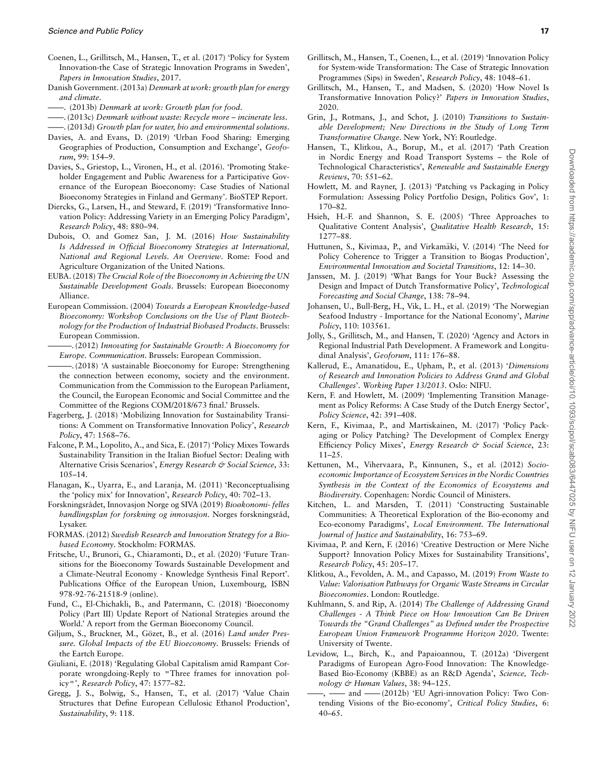- <span id="page-16-39"></span>Coenen, L., Grillitsch, M., Hansen, T., et al. (2017) 'Policy for System Innovation-the Case of Strategic Innovation Programs in Sweden', *Papers in Innovation Studies*, 2017.
- <span id="page-16-31"></span>Danish Government. (2013a) *Denmark at work: growth plan for energy and climate*.
- <span id="page-16-32"></span>——. (2013b) *Denmark at work: Growth plan for food*.
- <span id="page-16-33"></span>——. (2013c) *Denmark without waste: Recycle more – incinerate less*.
- <span id="page-16-34"></span>——. (2013d) *Growth plan for water, bio and environmental solutions*.
- <span id="page-16-16"></span>Davies, A. and Evans, D. (2019) 'Urban Food Sharing: Emerging Geographies of Production, Consumption and Exchange', *Geoforum*, 99: 154–9.
- <span id="page-16-37"></span>Davies, S., Griestop, L., Vironen, H., et al. (2016). 'Promoting Stakeholder Engagement and Public Awareness for a Participative Governance of the European Bioeconomy: Case Studies of National Bioeconomy Strategies in Finland and Germany'. BioSTEP Report.
- <span id="page-16-2"></span>Diercks, G., Larsen, H., and Steward, F. (2019) 'Transformative Innovation Policy: Addressing Variety in an Emerging Policy Paradigm', *Research Policy*, 48: 880–94.
- <span id="page-16-29"></span>Dubois, O. and Gomez San, J. M. (2016) *How Sustainability Is Addressed in Official Bioeconomy Strategies at International, National and Regional Levels. An Overview*. Rome: Food and Agriculture Organization of the United Nations.
- <span id="page-16-7"></span>EUBA. (2018) *The Crucial Role of the Bioeconomy in Achieving the UN Sustainable Development Goals*. Brussels: European Bioeconomy Alliance.
- <span id="page-16-35"></span>European Commission. (2004) *Towards a European Knowledge-based Bioeconomy: Workshop Conclusions on the Use of Plant Biotechnology for the Production of Industrial Biobased Products*. Brussels: European Commission.
- <span id="page-16-36"></span>———. (2012) *Innovating for Sustainable Growth: A Bioeconomy for Europe. Communication*. Brussels: European Commission.
- <span id="page-16-6"></span>———. (2018) 'A sustainable Bioeconomy for Europe: Strengthening the connection between economy, society and the environment. Communication from the Commission to the European Parliament, the Council, the European Economic and Social Committee and the Committee of the Regions COM/2018/673 final.' Brussels.
- <span id="page-16-25"></span>Fagerberg, J. (2018) 'Mobilizing Innovation for Sustainability Transitions: A Comment on Transformative Innovation Policy', *Research Policy*, 47: 1568–76.
- <span id="page-16-19"></span>Falcone, P. M., Lopolito, A., and Sica, E. (2017) 'Policy Mixes Towards Sustainability Transition in the Italian Biofuel Sector: Dealing with Alternative Crisis Scenarios', *Energy Research & Social Science*, 33: 105–14.
- <span id="page-16-17"></span>Flanagan, K., Uyarra, E., and Laranja, M. (2011) 'Reconceptualising the 'policy mix' for Innovation', *Research Policy*, 40: 702–13.
- <span id="page-16-38"></span>Forskningsrådet, Innovasjon Norge og SIVA (2019) *Bioøkonomi- felles handlingsplan for forskning og innovasjon*. Norges forskningsråd, Lysaker.
- <span id="page-16-11"></span>FORMAS. (2012) *Swedish Research and Innovation Strategy for a Biobased Economy*. Stockholm: FORMAS.
- <span id="page-16-8"></span>Fritsche, U., Brunori, G., Chiaramonti, D., et al. (2020) 'Future Transitions for the Bioeconomy Towards Sustainable Development and a Climate-Neutral Economy - Knowledge Synthesis Final Report'. Publications Office of the European Union, Luxembourg, ISBN 978-92-76-21518-9 (online).
- <span id="page-16-4"></span>Fund, C., El-Chichakli, B., and Patermann, C. (2018) 'Bioeconomy Policy (Part III) Update Report of National Strategies around the World.' A report from the German Bioeconomy Council.
- <span id="page-16-9"></span>Giljum, S., Bruckner, M., Gözet, B., et al. (2016) Land under Pres*sure. Global Impacts of the EU Bioeconomy*. Brussels: Friends of the Eartch Europe.
- <span id="page-16-24"></span>Giuliani, E. (2018) 'Regulating Global Capitalism amid Rampant Corporate wrongdoing-Reply to ''Three frames for innovation policy''', *Research Policy*, 47: 1577–82.
- <span id="page-16-14"></span>Gregg, J. S., Bolwig, S., Hansen, T., et al. (2017) 'Value Chain Structures that Define European Cellulosic Ethanol Production', *Sustainability*, 9: 118.
- <span id="page-16-1"></span>Grillitsch, M., Hansen, T., Coenen, L., et al. (2019) 'Innovation Policy for System-wide Transformation: The Case of Strategic Innovation Programmes (Sips) in Sweden', *Research Policy*, 48: 1048–61.
- <span id="page-16-26"></span>Grillitsch, M., Hansen, T., and Madsen, S. (2020) 'How Novel Is Transformative Innovation Policy?' *Papers in Innovation Studies*, 2020.
- <span id="page-16-0"></span>Grin, J., Rotmans, J., and Schot, J. (2010) *Transitions to Sustainable Development; New Directions in the Study of Long Term Transformative Change*. New York, NY: Routledge.
- <span id="page-16-15"></span>Hansen, T., Klitkou, A., Borup, M., et al. (2017) 'Path Creation in Nordic Energy and Road Transport Systems – the Role of Technological Characteristics', *Renewable and Sustainable Energy Reviews*, 70: 551–62.
- <span id="page-16-41"></span>Howlett, M. and Rayner, J. (2013) 'Patching vs Packaging in Policy Formulation: Assessing Policy Portfolio Design, Politics Gov', 1: 170–82.
- <span id="page-16-30"></span>Hsieh, H.-F. and Shannon, S. E. (2005) 'Three Approaches to Qualitative Content Analysis', *Qualitative Health Research*, 15: 1277–88.
- <span id="page-16-21"></span>Huttunen, S., Kivimaa, P., and Virkamäki, V. (2014) 'The Need for Policy Coherence to Trigger a Transition to Biogas Production', *Environmental Innovation and Societal Transitions*, 12: 14–30.
- <span id="page-16-3"></span>Janssen, M. J. (2019) 'What Bangs for Your Buck? Assessing the Design and Impact of Dutch Transformative Policy', *Technological Forecasting and Social Change*, 138: 78–94.
- <span id="page-16-12"></span>Johansen, U., Bull-Berg, H., Vik, L. H., et al. (2019) 'The Norwegian Seafood Industry - Importance for the National Economy', *Marine Policy*, 110: 103561.
- <span id="page-16-40"></span>Jolly, S., Grillitsch, M., and Hansen, T. (2020) 'Agency and Actors in Regional Industrial Path Development. A Framework and Longitudinal Analysis', *Geoforum*, 111: 176–88.
- <span id="page-16-22"></span>Kallerud, E., Amanatidou, E., Upham, P., et al. (2013) '*Dimensions of Research and Innovation Policies to Address Grand and Global Challenges*'. *Working Paper 13/2013*. Oslo: NIFU.
- <span id="page-16-42"></span>Kern, F. and Howlett, M. (2009) 'Implementing Transition Management as Policy Reforms: A Case Study of the Dutch Energy Sector', *Policy Science*, 42: 391–408.
- <span id="page-16-20"></span>Kern, F., Kivimaa, P., and Martiskainen, M. (2017) 'Policy Packaging or Policy Patching? The Development of Complex Energy Efficiency Policy Mixes', *Energy Research & Social Science*, 23: 11–25.
- <span id="page-16-13"></span>Kettunen, M., Vihervaara, P., Kinnunen, S., et al. (2012) *Socioeconomic Importance of Ecosystem Services in the Nordic Countries Synthesis in the Context of the Economics of Ecosystems and Biodiversity*. Copenhagen: Nordic Council of Ministers.
- <span id="page-16-10"></span>Kitchen, L. and Marsden, T. (2011) 'Constructing Sustainable Communities: A Theoretical Exploration of the Bio-economy and Eco-economy Paradigms', *Local Environment. The International Journal of Justice and Sustainability*, 16: 753–69.
- <span id="page-16-18"></span>Kivimaa, P. and Kern, F. (2016) 'Creative Destruction or Mere Niche Support? Innovation Policy Mixes for Sustainability Transitions', *Research Policy*, 45: 205–17.
- <span id="page-16-5"></span>Klitkou, A., Fevolden, A. M., and Capasso, M. (2019) *From Waste to Value: Valorisation Pathways for Organic Waste Streams in Circular Bioeconomies*. London: Routledge.
- <span id="page-16-23"></span>Kuhlmann, S. and Rip, A. (2014) *The Challenge of Addressing Grand Challenges - A Think Piece on How Innovation Can Be Driven Towards the "Grand Challenges" as Defined under the Prospective European Union Framework Programme Horizon 2020*. Twente: University of Twente.
- <span id="page-16-27"></span>Levidow, L., Birch, K., and Papaioannou, T. (2012a) 'Divergent Paradigms of European Agro-Food Innovation: The Knowledge-Based Bio-Economy (KBBE) as an R&D Agenda', *Science, Technology & Human Values*, 38: 94–125.
- <span id="page-16-28"></span>- and ——(2012b) 'EU Agri-innovation Policy: Two Contending Visions of the Bio-economy', *Critical Policy Studies*, 6: 40–65.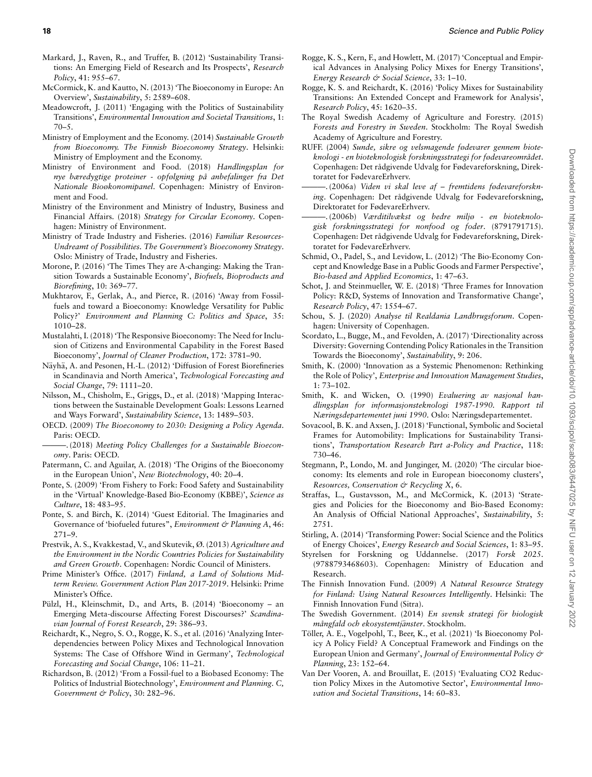- <span id="page-17-1"></span>Markard, J., Raven, R., and Truffer, B. (2012) 'Sustainability Transitions: An Emerging Field of Research and Its Prospects', *Research Policy*, 41: 955–67.
- <span id="page-17-4"></span>McCormick, K. and Kautto, N. (2013) 'The Bioeconomy in Europe: An Overview', *Sustainability*, 5: 2589–608.
- <span id="page-17-2"></span>Meadowcroft, J. (2011) 'Engaging with the Politics of Sustainability Transitions', *Environmental Innovation and Societal Transitions*, 1:  $70-5$ .
- <span id="page-17-36"></span>Ministry of Employment and the Economy. (2014) *Sustainable Growth from Bioeconomy. The Finnish Bioeconomy Strategy*. Helsinki: Ministry of Employment and the Economy.
- <span id="page-17-30"></span>Ministry of Environment and Food. (2018) *Handlingsplan for nye bæredygtige proteiner - opfølgning på anbefalinger fra Det Nationale Bioøkonomipanel*. Copenhagen: Ministry of Environment and Food.
- <span id="page-17-31"></span>Ministry of the Environment and Ministry of Industry, Business and Financial Affairs. (2018) *Strategy for Circular Economy*. Copenhagen: Ministry of Environment.
- <span id="page-17-38"></span>Ministry of Trade Industry and Fisheries. (2016) *Familiar Resources-Undreamt of Possibilities. The Government's Bioeconomy Strategy*. Oslo: Ministry of Trade, Industry and Fisheries.
- <span id="page-17-6"></span>Morone, P. (2016) 'The Times They are A-changing: Making the Transition Towards a Sustainable Economy', *Biofuels, Bioproducts and Biorefining*, 10: 369–77.
- <span id="page-17-25"></span>Mukhtarov, F., Gerlak, A., and Pierce, R. (2016) 'Away from Fossilfuels and toward a Bioeconomy: Knowledge Versatility for Public Policy?' *Environment and Planning C: Politics and Space*, 35: 1010–28.
- <span id="page-17-37"></span>Mustalahti, I. (2018) 'The Responsive Bioeconomy: The Need for Inclusion of Citizens and Environmental Capability in the Forest Based Bioeconomy', *Journal of Cleaner Production*, 172: 3781–90.
- <span id="page-17-15"></span>Näyhä, A. and Pesonen, H.-L. (2012) 'Diffusion of Forest Biorefineries in Scandinavia and North America', *Technological Forecasting and Social Change*, 79: 1111–20.
- <span id="page-17-41"></span>Nilsson, M., Chisholm, E., Griggs, D., et al. (2018) 'Mapping Interactions between the Sustainable Development Goals: Lessons Learned and Ways Forward', *Sustainability Science*, 13: 1489–503.
- <span id="page-17-22"></span>OECD. (2009) *The Bioeconomy to 2030: Designing a Policy Agenda*. Paris: OECD.
- <span id="page-17-5"></span> $-$ . (2018) Meeting Policy Challenges for a Sustainable Bioecon*omy*. Paris: OECD.
- <span id="page-17-8"></span>Patermann, C. and Aguilar, A. (2018) 'The Origins of the Bioeconomy in the European Union', *New Biotechnology*, 40: 20–4.
- <span id="page-17-27"></span>Ponte, S. (2009) 'From Fishery to Fork: Food Safety and Sustainability in the 'Virtual' Knowledge-Based Bio-Economy (KBBE)', *Science as Culture*, 18: 483–95.
- <span id="page-17-10"></span>Ponte, S. and Birch, K. (2014) 'Guest Editorial. The Imaginaries and Governance of 'biofueled futures", *Environment & Planning A*, 46: 271–9.
- <span id="page-17-13"></span>Prestvik, A. S., Kvakkestad, V., and Skutevik, Ø. (2013) *Agriculture and the Environment in the Nordic Countries Policies for Sustainability and Green Growth*. Copenhagen: Nordic Council of Ministers.
- <span id="page-17-42"></span>Prime Minister's Office. (2017) *Finland, a Land of Solutions Midterm Review. Government Action Plan 2017-2019*. Helsinki: Prime Minister's Office.
- <span id="page-17-26"></span>Pülzl, H., Kleinschmit, D., and Arts, B. (2014) 'Bioeconomy – an Emerging Meta-discourse Affecting Forest Discourses?' *Scandinavian Journal of Forest Research*, 29: 386–93.
- <span id="page-17-19"></span>Reichardt, K., Negro, S. O., Rogge, K. S., et al. (2016) 'Analyzing Interdependencies between Policy Mixes and Technological Innovation Systems: The Case of Offshore Wind in Germany', *Technological Forecasting and Social Change*, 106: 11–21.
- <span id="page-17-28"></span>Richardson, B. (2012) 'From a Fossil-fuel to a Biobased Economy: The Politics of Industrial Biotechnology', *Environment and Planning. C, Government & Policy*, 30: 282–96.
- <span id="page-17-16"></span>Rogge, K. S., Kern, F., and Howlett, M. (2017) 'Conceptual and Empirical Advances in Analysing Policy Mixes for Energy Transitions', *Energy Research & Social Science*, 33: 1–10.
- <span id="page-17-18"></span>Rogge, K. S. and Reichardt, K. (2016) 'Policy Mixes for Sustainability Transitions: An Extended Concept and Framework for Analysis', *Research Policy*, 45: 1620–35.
- <span id="page-17-12"></span>The Royal Swedish Academy of Agriculture and Forestry. (2015) *Forests and Forestry in Sweden*. Stockholm: The Royal Swedish Academy of Agriculture and Forestry.
- <span id="page-17-33"></span>RUFF. (2004) *Sunde, sikre og velsmagende fødevarer gennem bioteknologi - en bioteknologisk forskningsstrategi for fødevareområdet*. Copenhagen: Det rådgivende Udvalg for Fødevareforskning, Direktoratet for FødevareErhverv.
- <span id="page-17-29"></span>-(2006a) Viden vi skal leve af – fremtidens fødevareforskn*ing*. Copenhagen: Det rådgivende Udvalg for Fødevareforskning, Direktoratet for FødevareErhverv.
- <span id="page-17-34"></span>———. (2006b) *Værditilvækst og bedre miljø - en bioteknologisk forskningsstrategi for nonfood og foder*. (8791791715). Copenhagen: Det rådgivende Udvalg for Fødevareforskning, Direktoratet for FødevareErhverv.
- <span id="page-17-9"></span>Schmid, O., Padel, S., and Levidow, L. (2012) 'The Bio-Economy Concept and Knowledge Base in a Public Goods and Farmer Perspective', *Bio-based and Applied Economics*, 1: 47–63.
- <span id="page-17-0"></span>Schot, J. and Steinmueller, W. E. (2018) 'Three Frames for Innovation Policy: R&D, Systems of Innovation and Transformative Change', *Research Policy*, 47: 1554–67.
- <span id="page-17-11"></span>Schou, S. J. (2020) *Analyse til Realdania Landbrugsforum*. Copenhagen: University of Copenhagen.
- <span id="page-17-14"></span>Scordato, L., Bugge, M., and Fevolden, A. (2017) 'Directionality across Diversity: Governing Contending Policy Rationales in the Transition Towards the Bioeconomy', *Sustainability*, 9: 206.
- <span id="page-17-21"></span>Smith, K. (2000) 'Innovation as a Systemic Phenomenon: Rethinking the Role of Policy', *Enterprise and Innovation Management Studies*, 1: 73–102.
- <span id="page-17-39"></span>Smith, K. and Wicken, O. (1990) *Evaluering av nasjonal handlingsplan for informasjonsteknologi 1987-1990. Rapport til Næringsdepartementet juni 1990*. Oslo: Næringsdepartementet.
- <span id="page-17-17"></span>Sovacool, B. K. and Axsen, J. (2018) 'Functional, Symbolic and Societal Frames for Automobility: Implications for Sustainability Transitions', *Transportation Research Part a-Policy and Practice*, 118: 730–46.
- <span id="page-17-23"></span>Stegmann, P., Londo, M. and Junginger, M. (2020) 'The circular bioeconomy: Its elements and role in European bioeconomy clusters', *Resources, Conservation & Recycling X*, 6.
- <span id="page-17-7"></span>Straffas, L., Gustavsson, M., and McCormick, K. (2013) 'Strategies and Policies for the Bioeconomy and Bio-Based Economy: An Analysis of Official National Approaches', *Sustainability*, 5: 2751.
- <span id="page-17-3"></span>Stirling, A. (2014) 'Transforming Power: Social Science and the Politics of Energy Choices', *Energy Research and Social Sciences*, 1: 83–95.
- <span id="page-17-32"></span>Styrelsen for Forskning og Uddannelse. (2017) *Forsk 2025*. (9788793468603). Copenhagen: Ministry of Education and Research.
- <span id="page-17-35"></span>The Finnish Innovation Fund. (2009) *A Natural Resource Strategy for Finland: Using Natural Resources Intelligently*. Helsinki: The Finnish Innovation Fund (Sitra).
- <span id="page-17-40"></span>The Swedish Government. (2014) *En svensk strategi for biologisk* ¨ *mångfald och ekosystemtjänster*. Stockholm.
- <span id="page-17-24"></span>Töller, A. E., Vogelpohl, T., Beer, K., et al. (2021) 'Is Bioeconomy Policy A Policy Field? A Conceptual Framework and Findings on the European Union and Germany', *Journal of Environmental Policy & Planning*, 23: 152–64.
- <span id="page-17-20"></span>Van Der Vooren, A. and Brouillat, E. (2015) 'Evaluating CO2 Reduction Policy Mixes in the Automotive Sector', *Environmental Innovation and Societal Transitions*, 14: 60–83.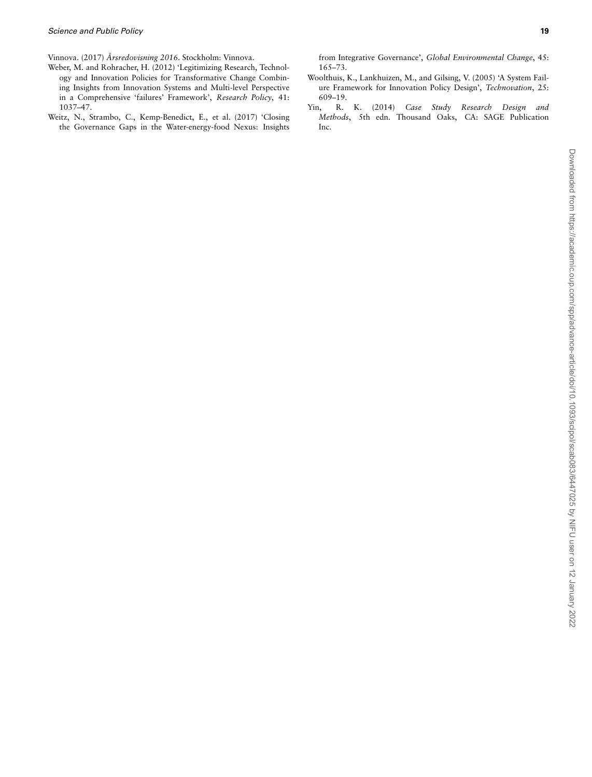<span id="page-18-3"></span>Vinnova. (2017) *Årsredovisning 2016*. Stockholm: Vinnova.

- <span id="page-18-0"></span>Weber, M. and Rohracher, H. (2012) 'Legitimizing Research, Technology and Innovation Policies for Transformative Change Combining Insights from Innovation Systems and Multi-level Perspective in a Comprehensive 'failures' Framework', *Research Policy*, 41: 1037–47.
- <span id="page-18-4"></span>Weitz, N., Strambo, C., Kemp-Benedict, E., et al. (2017) 'Closing the Governance Gaps in the Water-energy-food Nexus: Insights

from Integrative Governance', *Global Environmental Change*, 45: 165–73.

- <span id="page-18-1"></span>Woolthuis, K., Lankhuizen, M., and Gilsing, V. (2005) 'A System Failure Framework for Innovation Policy Design', *Technovation*, 25: 609–19.
- <span id="page-18-2"></span>Yin, R. K. (2014) *Case Study Research Design and Methods*, 5th edn. Thousand Oaks, CA: SAGE Publication Inc.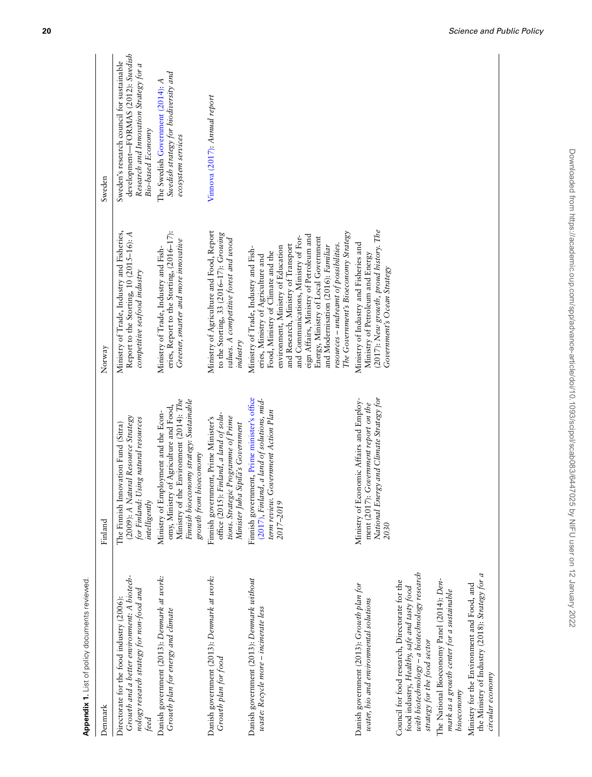| <b>Appendix 1.</b> List of policy documents reviewed                                                                                                                           |                                                                                                                                                                                                 |                                                                                                                                                                                                                                                                                                                                                                                                                                                  |                                                                                                                                                       |
|--------------------------------------------------------------------------------------------------------------------------------------------------------------------------------|-------------------------------------------------------------------------------------------------------------------------------------------------------------------------------------------------|--------------------------------------------------------------------------------------------------------------------------------------------------------------------------------------------------------------------------------------------------------------------------------------------------------------------------------------------------------------------------------------------------------------------------------------------------|-------------------------------------------------------------------------------------------------------------------------------------------------------|
| Denmark                                                                                                                                                                        | Finland                                                                                                                                                                                         | Norway                                                                                                                                                                                                                                                                                                                                                                                                                                           | Sweden                                                                                                                                                |
| Growth and a better environment: A biotech-<br>nology research strategy for non-food and<br>Directorate for the food industry (2006):<br>teed                                  | (2009): A Natural Resource Strategy<br>Using natural resources<br>The Finnish Innovation Fund (Sitra)<br>for Finland: I<br>intelligently                                                        | Ministry of Trade, Industry and Fisheries,<br>Report to the Storting, 10 (2015-16): A<br>competitive seafood industry                                                                                                                                                                                                                                                                                                                            | development-FORMAS (2012): Swedish<br>Sweden's research council for sustainable<br>Research and Innovation Strategy for a<br><b>Bio-based Economy</b> |
| Danish government (2013): Denmark at work:<br>Growth plan for energy and climate                                                                                               | Ministry of the Environment (2014): The<br>Finnish bioeconomy strategy: Sustainable<br>omy, Ministry of Agriculture and Food,<br>Ministry of Employment and the Econ-<br>growth from bioeconomy | eries, Report to the Storting, (2016-17):<br>Greener, smarter and more innovative<br>Ministry of Trade, Industry and Fish-                                                                                                                                                                                                                                                                                                                       | Swedish strategy for biodiversity and<br>The Swedish Government (2014): A<br>ecosystem services                                                       |
| Danish government (2013): Denmark at work:<br>Growth plan for food                                                                                                             | office (2015): Finland, a land of solu-<br>tions. Strategic Programme of Prime<br>Finnish government, Prime Minister's<br>Minister Juha Sipilä's Government                                     | Ministry of Agriculture and Food, Report<br>to the Storting, 33 (2016-17): Growing<br>values. A competitive forest and wood<br>industry                                                                                                                                                                                                                                                                                                          | Vinnova (2017): Annual report                                                                                                                         |
| Danish government (2013): Denmark without<br>waste: Recycle more - incinerate less                                                                                             | Finnish government, Prime minister's office<br>(2017), Finland, a land of solutions, mid-<br>Government Action Plan<br>term review.<br>2017-2019                                                | The Government's Bioeconomy Strategy<br>eign Affairs, Ministry of Petroleum and<br>Energy, Ministry of Local Government<br>and Communications, Ministry of For-<br>resources - undreamt of possibilities.<br>and Research, Ministry of Transport<br>environment, Ministry of Education<br>and Modernisation (2016): Familiar<br>Ministry of Trade, Industry and Fish-<br>Food, Ministry of Climate and the<br>eries, Ministry of Agriculture and |                                                                                                                                                       |
| Danish government (2013): Growth plan for<br>water, bio and environmental solutions                                                                                            | National Energy and Climate Strategy for<br>Ministry of Economic Affairs and Employ-<br>ment (2017): Government report on the<br>2030                                                           | (2017): New growth, proud history. The<br>Ministry of Industry and Fisheries and<br>Ministry of Petroleum and Energy<br>Government's Ocean Strategy                                                                                                                                                                                                                                                                                              |                                                                                                                                                       |
| with biotechnology - a biotechnology research<br>Council for food research, Directorate for the<br>food industry, Healthy, safe and tasty food<br>strategy for the food sector |                                                                                                                                                                                                 |                                                                                                                                                                                                                                                                                                                                                                                                                                                  |                                                                                                                                                       |
| The National Bioeconomy Panel (2014): Den-<br>mark as a growth center for a sustainable<br>bioeconomy                                                                          |                                                                                                                                                                                                 |                                                                                                                                                                                                                                                                                                                                                                                                                                                  |                                                                                                                                                       |
| the Ministry of Industry (2018): Strategy for a<br>Ministry for the Environment and Food, and<br>circular economy                                                              |                                                                                                                                                                                                 |                                                                                                                                                                                                                                                                                                                                                                                                                                                  |                                                                                                                                                       |
|                                                                                                                                                                                |                                                                                                                                                                                                 |                                                                                                                                                                                                                                                                                                                                                                                                                                                  |                                                                                                                                                       |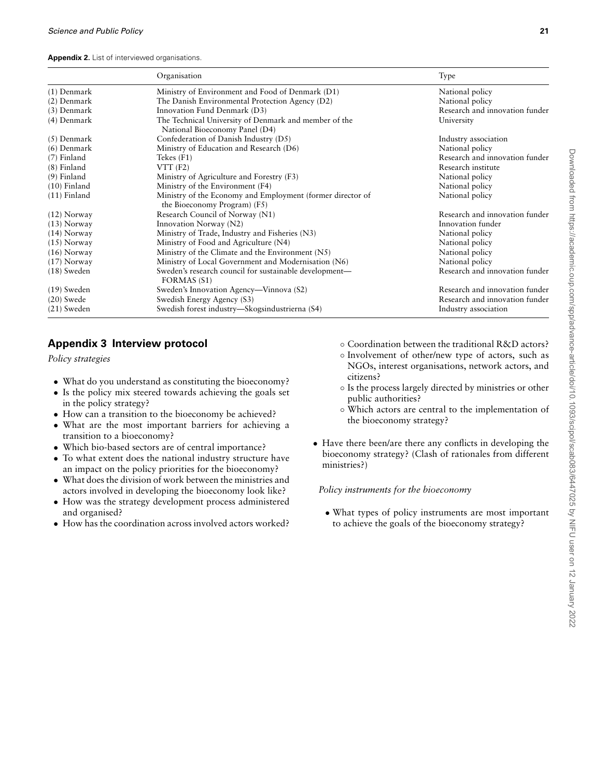**Appendix 2.** List of interviewed organisations.

|                | Organisation                                                                               | Type                           |  |
|----------------|--------------------------------------------------------------------------------------------|--------------------------------|--|
| $(1)$ Denmark  | Ministry of Environment and Food of Denmark (D1)                                           | National policy                |  |
| (2) Denmark    | The Danish Environmental Protection Agency (D2)<br>National policy                         |                                |  |
| $(3)$ Denmark  | Innovation Fund Denmark (D3)                                                               | Research and innovation funder |  |
| (4) Denmark    | The Technical University of Denmark and member of the<br>National Bioeconomy Panel (D4)    | University                     |  |
| $(5)$ Denmark  | Confederation of Danish Industry (D5)                                                      | Industry association           |  |
| $(6)$ Denmark  | Ministry of Education and Research (D6)                                                    | National policy                |  |
| $(7)$ Finland  | Tekes $(F1)$                                                                               | Research and innovation funder |  |
| $(8)$ Finland  | $VTT$ (F2)                                                                                 | Research institute             |  |
| $(9)$ Finland  | Ministry of Agriculture and Forestry (F3)                                                  | National policy                |  |
| $(10)$ Finland | Ministry of the Environment (F4)                                                           | National policy                |  |
| $(11)$ Finland | Ministry of the Economy and Employment (former director of<br>the Bioeconomy Program) (F5) | National policy                |  |
| $(12)$ Norway  | Research Council of Norway (N1)                                                            | Research and innovation funder |  |
| $(13)$ Norway  | Innovation Norway (N2)                                                                     | Innovation funder              |  |
| $(14)$ Norway  | Ministry of Trade, Industry and Fisheries (N3)                                             | National policy                |  |
| $(15)$ Norway  | Ministry of Food and Agriculture (N4)                                                      | National policy                |  |
| $(16)$ Norway  | Ministry of the Climate and the Environment (N5)                                           | National policy                |  |
| $(17)$ Norway  | Ministry of Local Government and Modernisation (N6)                                        | National policy                |  |
| $(18)$ Sweden  | Sweden's research council for sustainable development—<br>FORMAS (S1)                      | Research and innovation funder |  |
| $(19)$ Sweden  | Sweden's Innovation Agency—Vinnova (S2)                                                    | Research and innovation funder |  |
| $(20)$ Swede   | Swedish Energy Agency (S3)                                                                 | Research and innovation funder |  |
| $(21)$ Sweden  | Swedish forest industry—Skogsindustrierna (S4)                                             | Industry association           |  |

# <span id="page-20-0"></span>**Appendix 3 Interview protocol**

*Policy strategies*

- What do you understand as constituting the bioeconomy?
- Is the policy mix steered towards achieving the goals set in the policy strategy?
- How can a transition to the bioeconomy be achieved?
- *•* What are the most important barriers for achieving a transition to a bioeconomy?
- *•* Which bio-based sectors are of central importance?
- *•* To what extent does the national industry structure have an impact on the policy priorities for the bioeconomy?
- What does the division of work between the ministries and actors involved in developing the bioeconomy look like?
- *•* How was the strategy development process administered and organised?
- *•* How has the coordination across involved actors worked?
- *◦* Coordination between the traditional R&D actors?
- *◦* Involvement of other/new type of actors, such as NGOs, interest organisations, network actors, and citizens?
- *◦* Is the process largely directed by ministries or other public authorities?
- *◦* Which actors are central to the implementation of the bioeconomy strategy?
- *•* Have there been/are there any conflicts in developing the bioeconomy strategy? (Clash of rationales from different ministries?)

*Policy instruments for the bioeconomy*

*•* What types of policy instruments are most important to achieve the goals of the bioeconomy strategy?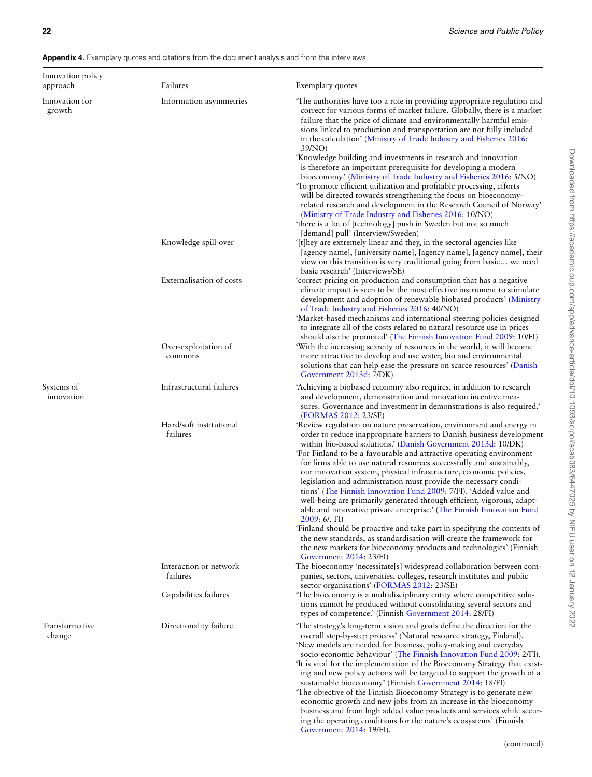**Appendix 4.** Exemplary quotes and citations from the document analysis and from the interviews.

| Innovation policy<br>approach | Failures                            | Exemplary quotes                                                                                                                                                                                                                                                                                                                                                                                                                                                                                                                                                                                                                                                                                                                                                                                                                                                                                                                                                                                      |
|-------------------------------|-------------------------------------|-------------------------------------------------------------------------------------------------------------------------------------------------------------------------------------------------------------------------------------------------------------------------------------------------------------------------------------------------------------------------------------------------------------------------------------------------------------------------------------------------------------------------------------------------------------------------------------------------------------------------------------------------------------------------------------------------------------------------------------------------------------------------------------------------------------------------------------------------------------------------------------------------------------------------------------------------------------------------------------------------------|
| Innovation for<br>growth      | Information asymmetries             | The authorities have too a role in providing appropriate regulation and<br>correct for various forms of market failure. Globally, there is a market<br>failure that the price of climate and environmentally harmful emis-<br>sions linked to production and transportation are not fully included<br>in the calculation' (Ministry of Trade Industry and Fisheries 2016:<br>39/NO)                                                                                                                                                                                                                                                                                                                                                                                                                                                                                                                                                                                                                   |
|                               |                                     | 'Knowledge building and investments in research and innovation<br>is therefore an important prerequisite for developing a modern<br>bioeconomy.' (Ministry of Trade Industry and Fisheries 2016: 5/NO)<br>'To promote efficient utilization and profitable processing, efforts<br>will be directed towards strengthening the focus on bioeconomy-<br>related research and development in the Research Council of Norway'<br>(Ministry of Trade Industry and Fisheries 2016: 10/NO)<br>'there is a lot of [technology] push in Sweden but not so much                                                                                                                                                                                                                                                                                                                                                                                                                                                  |
|                               | Knowledge spill-over                | [demand] pull' (Interview/Sweden)<br>'[t]hey are extremely linear and they, in the sectoral agencies like<br>[agency name], [university name], [agency name], [agency name], their<br>view on this transition is very traditional going from basic we need<br>basic research' (Interviews/SE)                                                                                                                                                                                                                                                                                                                                                                                                                                                                                                                                                                                                                                                                                                         |
|                               | Externalisation of costs            | 'correct pricing on production and consumption that has a negative<br>climate impact is seen to be the most effective instrument to stimulate<br>development and adoption of renewable biobased products' (Ministry<br>of Trade Industry and Fisheries 2016: 40/NO)<br>'Market-based mechanisms and international steering policies designed<br>to integrate all of the costs related to natural resource use in prices<br>should also be promoted' (The Finnish Innovation Fund 2009: 10/FI)                                                                                                                                                                                                                                                                                                                                                                                                                                                                                                         |
|                               | Over-exploitation of<br>commons     | 'With the increasing scarcity of resources in the world, it will become<br>more attractive to develop and use water, bio and environmental<br>solutions that can help ease the pressure on scarce resources' (Danish<br>Government 2013d: 7/DK)                                                                                                                                                                                                                                                                                                                                                                                                                                                                                                                                                                                                                                                                                                                                                       |
| Systems of<br>innovation      | Infrastructural failures            | 'Achieving a biobased economy also requires, in addition to research<br>and development, demonstration and innovation incentive mea-<br>sures. Governance and investment in demonstrations is also required.'<br>(FORMAS 2012: 23/SE)                                                                                                                                                                                                                                                                                                                                                                                                                                                                                                                                                                                                                                                                                                                                                                 |
|                               | Hard/soft institutional<br>failures | 'Review regulation on nature preservation, environment and energy in<br>order to reduce inappropriate barriers to Danish business development<br>within bio-based solutions.' (Danish Government 2013d: 10/DK)<br>'For Finland to be a favourable and attractive operating environment<br>for firms able to use natural resources successfully and sustainably,<br>our innovation system, physical infrastructure, economic policies,<br>legislation and administration must provide the necessary condi-<br>tions' (The Finnish Innovation Fund 2009: 7/FI). 'Added value and<br>well-being are primarily generated through efficient, vigorous, adapt-<br>able and innovative private enterprise.' (The Finnish Innovation Fund<br>2009: 6/. FI)<br>Finland should be proactive and take part in specifying the contents of<br>the new standards, as standardisation will create the framework for<br>the new markets for bioeconomy products and technologies' (Finnish<br>Government 2014: 23/FI) |
|                               | Interaction or network<br>failures  | The bioeconomy 'necessitate[s] widespread collaboration between com-<br>panies, sectors, universities, colleges, research institutes and public<br>sector organisations' (FORMAS 2012: 23/SE)                                                                                                                                                                                                                                                                                                                                                                                                                                                                                                                                                                                                                                                                                                                                                                                                         |
|                               | Capabilities failures               | The bioeconomy is a multidisciplinary entity where competitive solu-<br>tions cannot be produced without consolidating several sectors and<br>types of competence.' (Finnish Government 2014: 28/FI)                                                                                                                                                                                                                                                                                                                                                                                                                                                                                                                                                                                                                                                                                                                                                                                                  |
| Transformative<br>change      | Directionality failure              | 'The strategy's long-term vision and goals define the direction for the<br>overall step-by-step process' (Natural resource strategy, Finland).<br>'New models are needed for business, policy-making and everyday<br>socio-economic behaviour' (The Finnish Innovation Fund 2009: 2/FI).<br>'It is vital for the implementation of the Bioeconomy Strategy that exist-<br>ing and new policy actions will be targeted to support the growth of a<br>sustainable bioeconomy' (Finnish Government 2014: 18/FI)<br>The objective of the Finnish Bioeconomy Strategy is to generate new<br>economic growth and new jobs from an increase in the bioeconomy<br>business and from high added value products and services while secur-<br>ing the operating conditions for the nature's ecosystems' (Finnish                                                                                                                                                                                                 |

[Government 2014:](#page-17-40) 19/FI).